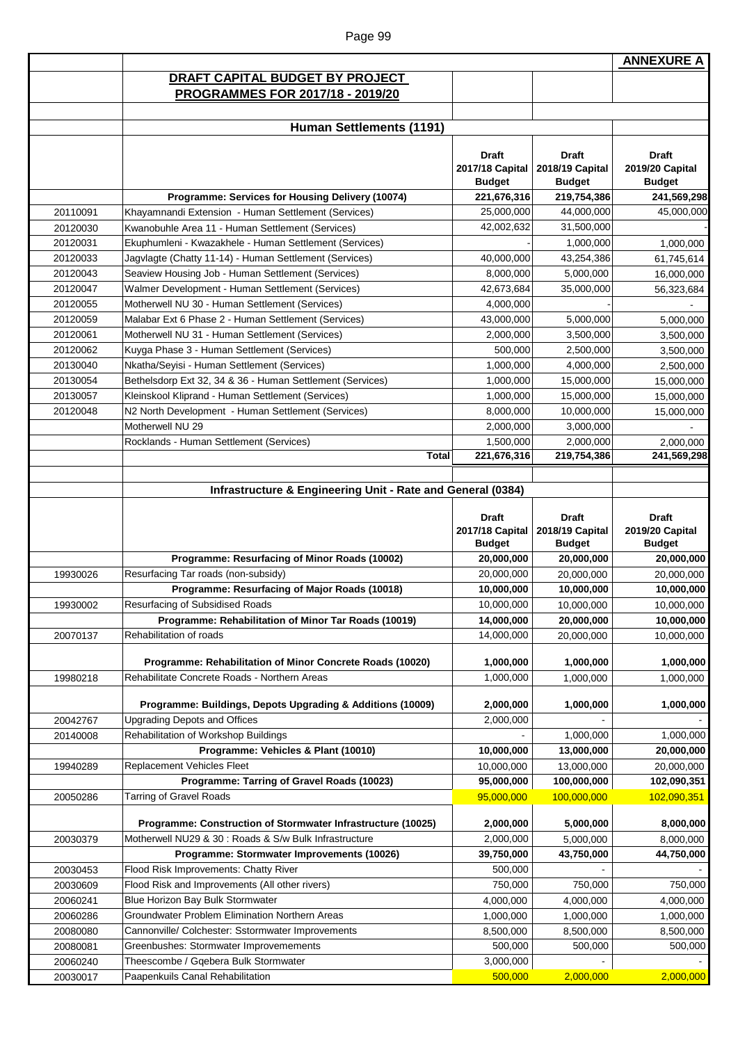|          |                                                              |                                  |                                  | <b>ANNEXURE A</b>                |
|----------|--------------------------------------------------------------|----------------------------------|----------------------------------|----------------------------------|
|          | DRAFT CAPITAL BUDGET BY PROJECT                              |                                  |                                  |                                  |
|          | PROGRAMMES FOR 2017/18 - 2019/20                             |                                  |                                  |                                  |
|          |                                                              |                                  |                                  |                                  |
|          | <b>Human Settlements (1191)</b>                              |                                  |                                  |                                  |
|          |                                                              |                                  |                                  |                                  |
|          |                                                              | <b>Draft</b><br>2017/18 Capital  | <b>Draft</b><br>2018/19 Capital  | <b>Draft</b><br>2019/20 Capital  |
|          |                                                              | <b>Budget</b>                    | <b>Budget</b>                    | <b>Budget</b>                    |
|          | Programme: Services for Housing Delivery (10074)             | 221,676,316                      | 219,754,386                      | 241,569,298                      |
| 20110091 | Khayamnandi Extension - Human Settlement (Services)          | 25,000,000                       | 44,000,000                       | 45,000,000                       |
| 20120030 | Kwanobuhle Area 11 - Human Settlement (Services)             | 42,002,632                       | 31,500,000                       |                                  |
| 20120031 | Ekuphumleni - Kwazakhele - Human Settlement (Services)       |                                  | 1,000,000                        | 1,000,000                        |
| 20120033 | Jagvlagte (Chatty 11-14) - Human Settlement (Services)       | 40,000,000                       | 43,254,386                       | 61,745,614                       |
| 20120043 | Seaview Housing Job - Human Settlement (Services)            | 8,000,000                        | 5,000,000                        | 16,000,000                       |
| 20120047 | Walmer Development - Human Settlement (Services)             | 42,673,684                       | 35,000,000                       | 56,323,684                       |
| 20120055 | Motherwell NU 30 - Human Settlement (Services)               | 4,000,000                        |                                  |                                  |
| 20120059 | Malabar Ext 6 Phase 2 - Human Settlement (Services)          | 43,000,000                       | 5,000,000                        | 5,000,000                        |
| 20120061 | Motherwell NU 31 - Human Settlement (Services)               | 2,000,000                        | 3,500,000                        | 3,500,000                        |
| 20120062 | Kuyga Phase 3 - Human Settlement (Services)                  | 500,000                          | 2,500,000                        | 3,500,000                        |
| 20130040 | Nkatha/Seyisi - Human Settlement (Services)                  | 1,000,000                        | 4,000,000                        | 2,500,000                        |
| 20130054 | Bethelsdorp Ext 32, 34 & 36 - Human Settlement (Services)    | 1,000,000                        | 15,000,000                       | 15,000,000                       |
| 20130057 | Kleinskool Kliprand - Human Settlement (Services)            | 1,000,000                        | 15,000,000                       | 15,000,000                       |
| 20120048 | N2 North Development - Human Settlement (Services)           | 8,000,000                        | 10,000,000                       | 15,000,000                       |
|          | Motherwell NU 29                                             | 2,000,000                        | 3,000,000                        |                                  |
|          | Rocklands - Human Settlement (Services)                      | 1,500,000                        | 2,000,000                        | 2,000,000                        |
|          | <b>Total</b>                                                 | 221,676,316                      | 219,754,386                      | 241,569,298                      |
|          |                                                              | 2017/18 Capital<br><b>Budget</b> | 2018/19 Capital<br><b>Budget</b> | 2019/20 Capital<br><b>Budget</b> |
|          | Programme: Resurfacing of Minor Roads (10002)                | 20,000,000                       | 20,000,000                       | 20,000,000                       |
| 19930026 | Resurfacing Tar roads (non-subsidy)                          | 20,000,000                       | 20,000,000                       | 20,000,000                       |
|          | Programme: Resurfacing of Major Roads (10018)                | 10,000,000                       | 10,000,000                       | 10,000,000                       |
| 19930002 | Resurfacing of Subsidised Roads                              | 10,000,000                       | 10,000,000                       | 10,000,000                       |
|          | Programme: Rehabilitation of Minor Tar Roads (10019)         | 14,000,000                       | 20,000,000                       | 10,000,000                       |
| 20070137 | Rehabilitation of roads                                      | 14,000,000                       | 20,000,000                       | 10,000,000                       |
|          | Programme: Rehabilitation of Minor Concrete Roads (10020)    | 1,000,000                        | 1,000,000                        | 1,000,000                        |
| 19980218 | Rehabilitate Concrete Roads - Northern Areas                 | 1,000,000                        | 1,000,000                        | 1,000,000                        |
|          |                                                              |                                  |                                  |                                  |
|          | Programme: Buildings, Depots Upgrading & Additions (10009)   | 2,000,000                        | 1,000,000                        | 1,000,000                        |
| 20042767 | <b>Upgrading Depots and Offices</b>                          | 2,000,000                        |                                  |                                  |
| 20140008 | Rehabilitation of Workshop Buildings                         |                                  | 1,000,000                        | 1,000,000                        |
|          | Programme: Vehicles & Plant (10010)                          | 10,000,000                       | 13,000,000                       | 20,000,000                       |
| 19940289 | <b>Replacement Vehicles Fleet</b>                            | 10,000,000                       | 13,000,000                       | 20,000,000                       |
|          | Programme: Tarring of Gravel Roads (10023)                   | 95,000,000                       | 100,000,000                      | 102,090,351                      |
| 20050286 | Tarring of Gravel Roads                                      | 95,000,000                       | 100,000,000                      | 102,090,351                      |
|          | Programme: Construction of Stormwater Infrastructure (10025) | 2,000,000                        | 5,000,000                        | 8,000,000                        |
| 20030379 | Motherwell NU29 & 30 : Roads & S/w Bulk Infrastructure       | 2,000,000                        | 5,000,000                        | 8,000,000                        |
|          | Programme: Stormwater Improvements (10026)                   | 39,750,000                       | 43,750,000                       | 44,750,000                       |
| 20030453 | Flood Risk Improvements: Chatty River                        | 500,000                          |                                  |                                  |
| 20030609 | Flood Risk and Improvements (All other rivers)               | 750,000                          | 750,000                          | 750,000                          |
| 20060241 | Blue Horizon Bay Bulk Stormwater                             | 4,000,000                        | 4,000,000                        | 4,000,000                        |
| 20060286 | Groundwater Problem Elimination Northern Areas               | 1,000,000                        | 1,000,000                        | 1,000,000                        |
| 20080080 | Cannonville/ Colchester: Sstormwater Improvements            | 8,500,000                        | 8,500,000                        | 8,500,000                        |
| 20080081 |                                                              |                                  |                                  |                                  |
|          | Greenbushes: Stormwater Improvemements                       | 500,000                          | 500,000                          |                                  |
| 20060240 | Theescombe / Gqebera Bulk Stormwater                         | 3,000,000                        |                                  | 500,000                          |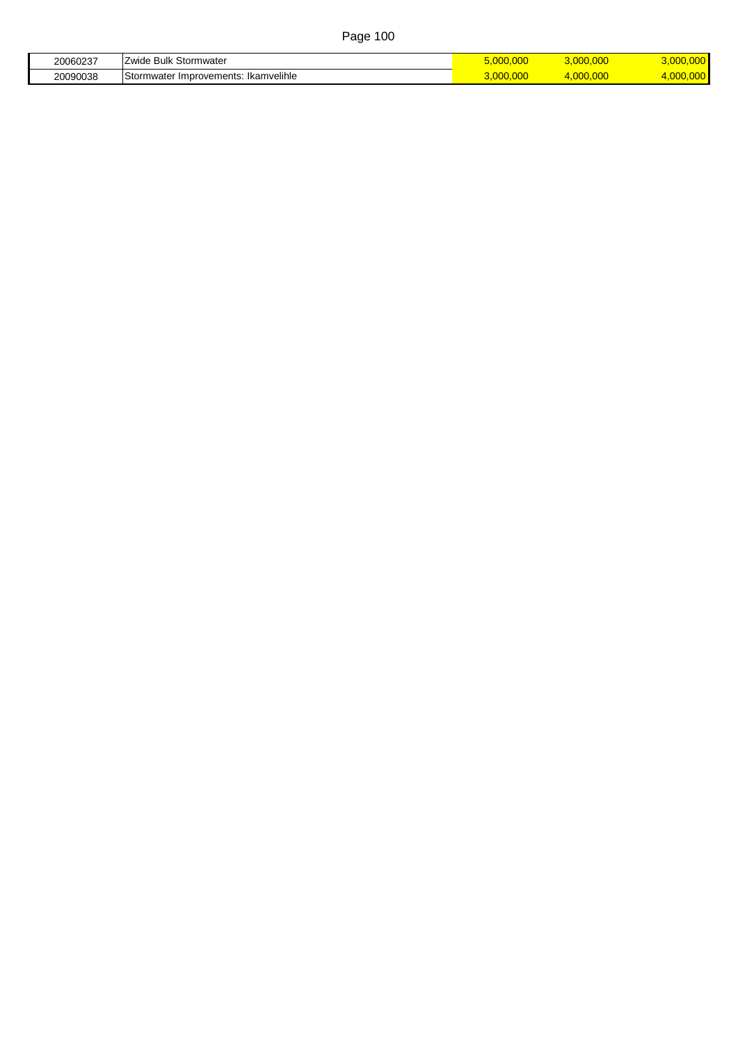| 20060237 | Bulk<br>-<br>Stormwate<br><b>A</b><br>лае                  | 3.000.000 | .      |
|----------|------------------------------------------------------------|-----------|--------|
| 20090038 | <br>⌒<br>Ikamvelihle<br>∵Improvements:<br>mwate:<br>− stor | .000      | $\sim$ |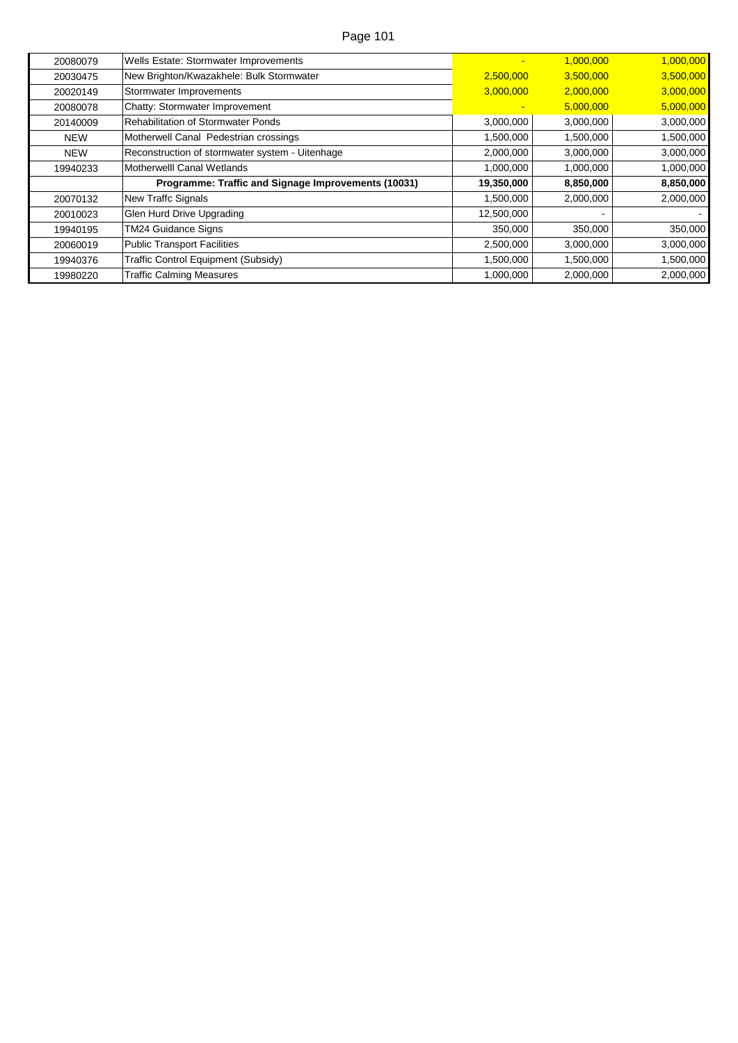| 20080079   | Wells Estate: Stormwater Improvements               | $\overline{\phantom{a}}$ | 1,000,000 | 1,000,000 |
|------------|-----------------------------------------------------|--------------------------|-----------|-----------|
| 20030475   | New Brighton/Kwazakhele: Bulk Stormwater            | 2,500,000                | 3,500,000 | 3,500,000 |
| 20020149   | Stormwater Improvements                             | 3,000,000                | 2,000,000 | 3,000,000 |
| 20080078   | Chatty: Stormwater Improvement                      |                          | 5,000,000 | 5,000,000 |
| 20140009   | <b>Rehabilitation of Stormwater Ponds</b>           | 3,000,000                | 3,000,000 | 3,000,000 |
| <b>NEW</b> | Motherwell Canal Pedestrian crossings               | 1,500,000                | 1,500,000 | 1,500,000 |
| <b>NEW</b> | Reconstruction of stormwater system - Uitenhage     | 2,000,000                | 3,000,000 | 3,000,000 |
| 19940233   | Motherwelll Canal Wetlands                          | 1,000,000                | 1,000,000 | 1,000,000 |
|            | Programme: Traffic and Signage Improvements (10031) | 19,350,000               | 8,850,000 | 8,850,000 |
| 20070132   | New Traffc Signals                                  | 1,500,000                | 2,000,000 | 2,000,000 |
| 20010023   | Glen Hurd Drive Upgrading                           | 12,500,000               |           |           |
| 19940195   | <b>TM24 Guidance Signs</b>                          | 350,000                  | 350,000   | 350,000   |
| 20060019   | <b>Public Transport Facilities</b>                  | 2,500,000                | 3,000,000 | 3,000,000 |
| 19940376   | Traffic Control Equipment (Subsidy)                 | 1,500,000                | 1,500,000 | 1,500,000 |
| 19980220   | <b>Traffic Calming Measures</b>                     | 1,000,000                | 2,000,000 | 2,000,000 |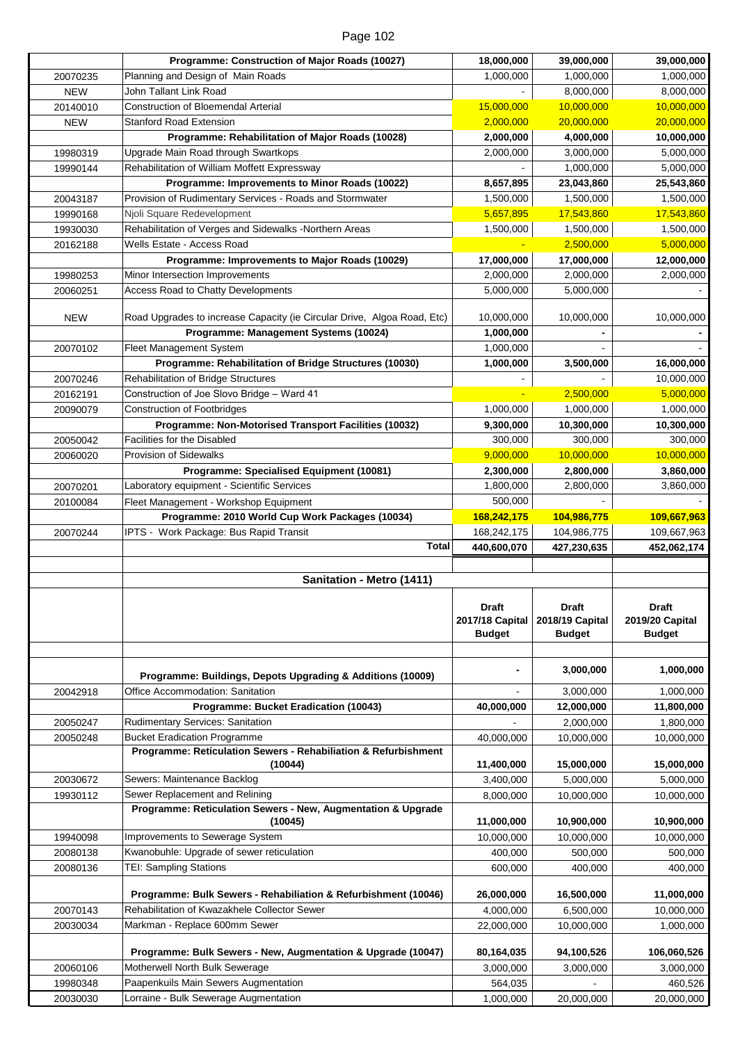|                      | Programme: Construction of Major Roads (10027)                                | 18,000,000           | 39,000,000      | 39,000,000                                                  |
|----------------------|-------------------------------------------------------------------------------|----------------------|-----------------|-------------------------------------------------------------|
| 20070235             | Planning and Design of Main Roads                                             | 1,000,000            | 1,000,000       | 1,000,000                                                   |
|                      | John Tallant Link Road                                                        |                      |                 |                                                             |
| <b>NEW</b>           |                                                                               |                      | 8,000,000       | 8,000,000                                                   |
| 20140010             | <b>Construction of Bloemendal Arterial</b>                                    | 15,000,000           | 10,000,000      | 10,000,000                                                  |
| <b>NEW</b>           | <b>Stanford Road Extension</b>                                                | 2,000,000            | 20,000,000      | 20,000,000                                                  |
|                      | Programme: Rehabilitation of Major Roads (10028)                              | 2,000,000            | 4,000,000       | 10,000,000                                                  |
| 19980319             | Upgrade Main Road through Swartkops                                           | 2,000,000            | 3,000,000       | 5,000,000                                                   |
| 19990144             | Rehabilitation of William Moffett Expressway                                  |                      | 1,000,000       | 5,000,000                                                   |
|                      | Programme: Improvements to Minor Roads (10022)                                | 8,657,895            | 23,043,860      | 25,543,860                                                  |
|                      |                                                                               |                      |                 |                                                             |
| 20043187             | Provision of Rudimentary Services - Roads and Stormwater                      | 1,500,000            | 1,500,000       | 1,500,000                                                   |
| 19990168             | Njoli Square Redevelopment                                                    | 5,657,895            | 17,543,860      | 17,543,860                                                  |
| 19930030             | Rehabilitation of Verges and Sidewalks -Northern Areas                        | 1,500,000            | 1,500,000       | 1,500,000                                                   |
| 20162188             | Wells Estate - Access Road                                                    |                      | 2,500,000       | 5,000,000                                                   |
|                      | Programme: Improvements to Major Roads (10029)                                | 17,000,000           | 17,000,000      | 12,000,000                                                  |
| 19980253             | Minor Intersection Improvements                                               | 2,000,000            | 2,000,000       | 2,000,000                                                   |
|                      | Access Road to Chatty Developments                                            | 5,000,000            | 5,000,000       |                                                             |
| 20060251             |                                                                               |                      |                 |                                                             |
|                      | Road Upgrades to increase Capacity (ie Circular Drive, Algoa Road, Etc)       | 10,000,000           | 10,000,000      | 10,000,000                                                  |
| <b>NEW</b>           |                                                                               |                      |                 |                                                             |
|                      | Programme: Management Systems (10024)                                         | 1,000,000            |                 |                                                             |
| 20070102             | Fleet Management System                                                       | 1,000,000            |                 |                                                             |
|                      | Programme: Rehabilitation of Bridge Structures (10030)                        | 1,000,000            | 3,500,000       | 16,000,000                                                  |
| 20070246             | Rehabilitation of Bridge Structures                                           |                      |                 | 10,000,000                                                  |
| 20162191             | Construction of Joe Slovo Bridge - Ward 41                                    |                      | 2,500,000       | 5,000,000                                                   |
| 20090079             | <b>Construction of Footbridges</b>                                            | 1,000,000            | 1,000,000       | 1,000,000                                                   |
|                      |                                                                               |                      |                 |                                                             |
|                      | Programme: Non-Motorised Transport Facilities (10032)                         | 9,300,000            | 10,300,000      | 10,300,000                                                  |
| 20050042             | Facilities for the Disabled                                                   | 300,000              | 300,000         | 300,000                                                     |
| 20060020             | <b>Provision of Sidewalks</b>                                                 | 9,000,000            | 10,000,000      | 10,000,000                                                  |
|                      | Programme: Specialised Equipment (10081)                                      | 2,300,000            | 2,800,000       | 3,860,000                                                   |
| 20070201             | Laboratory equipment - Scientific Services                                    | 1,800,000            | 2,800,000       | 3,860,000                                                   |
| 20100084             | Fleet Management - Workshop Equipment                                         | 500,000              |                 |                                                             |
|                      |                                                                               |                      |                 |                                                             |
|                      | Programme: 2010 World Cup Work Packages (10034)                               | 168,242,175          | 104,986,775     | 109,667,963                                                 |
|                      |                                                                               |                      |                 |                                                             |
| 20070244             | IPTS - Work Package: Bus Rapid Transit                                        | 168,242,175          | 104,986,775     | 109,667,963                                                 |
|                      | <b>Total</b>                                                                  | 440,600,070          | 427,230,635     |                                                             |
|                      |                                                                               |                      |                 | 452,062,174                                                 |
|                      |                                                                               |                      |                 |                                                             |
|                      | Sanitation - Metro (1411)                                                     |                      |                 |                                                             |
|                      |                                                                               | <b>Draft</b>         | <b>Draft</b>    | <b>Draft</b>                                                |
|                      |                                                                               |                      |                 |                                                             |
|                      |                                                                               | 2017/18 Capital      | 2018/19 Capital | 2019/20 Capital<br><b>Budget</b>                            |
|                      |                                                                               | <b>Budget</b>        | <b>Budget</b>   |                                                             |
|                      |                                                                               |                      |                 |                                                             |
|                      |                                                                               |                      | 3,000,000       | 1,000,000                                                   |
|                      | Programme: Buildings, Depots Upgrading & Additions (10009)                    |                      |                 |                                                             |
| 20042918             | Office Accommodation: Sanitation                                              |                      | 3,000,000       | 1,000,000                                                   |
|                      | Programme: Bucket Eradication (10043)                                         | 40,000,000           | 12,000,000      | 11,800,000                                                  |
| 20050247             | <b>Rudimentary Services: Sanitation</b>                                       |                      | 2,000,000       | 1,800,000                                                   |
| 20050248             | <b>Bucket Eradication Programme</b>                                           | 40,000,000           | 10,000,000      | 10,000,000                                                  |
|                      | Programme: Reticulation Sewers - Rehabiliation & Refurbishment                |                      |                 |                                                             |
|                      | (10044)                                                                       | 11,400,000           | 15,000,000      | 15,000,000                                                  |
|                      |                                                                               |                      |                 |                                                             |
| 20030672             | Sewers: Maintenance Backlog                                                   | 3,400,000            | 5,000,000       | 5,000,000                                                   |
| 19930112             | Sewer Replacement and Relining                                                | 8,000,000            | 10,000,000      | 10,000,000                                                  |
|                      | Programme: Reticulation Sewers - New, Augmentation & Upgrade                  |                      |                 |                                                             |
|                      | (10045)                                                                       | 11,000,000           | 10,900,000      | 10,900,000                                                  |
| 19940098             | Improvements to Sewerage System                                               | 10,000,000           | 10,000,000      |                                                             |
| 20080138             | Kwanobuhle: Upgrade of sewer reticulation                                     | 400,000              | 500,000         |                                                             |
| 20080136             | <b>TEI: Sampling Stations</b>                                                 | 600,000              | 400,000         | 400,000                                                     |
|                      |                                                                               |                      |                 |                                                             |
|                      | Programme: Bulk Sewers - Rehabiliation & Refurbishment (10046)                | 26,000,000           | 16,500,000      | 11,000,000                                                  |
| 20070143             | Rehabilitation of Kwazakhele Collector Sewer                                  | 4,000,000            | 6,500,000       | 10,000,000                                                  |
| 20030034             | Markman - Replace 600mm Sewer                                                 | 22,000,000           | 10,000,000      | 1,000,000                                                   |
|                      |                                                                               |                      |                 |                                                             |
|                      | Programme: Bulk Sewers - New, Augmentation & Upgrade (10047)                  | 80,164,035           | 94,100,526      | 106,060,526                                                 |
|                      |                                                                               |                      |                 |                                                             |
| 20060106             | Motherwell North Bulk Sewerage                                                | 3,000,000            | 3,000,000       |                                                             |
| 19980348<br>20030030 | Paapenkuils Main Sewers Augmentation<br>Lorraine - Bulk Sewerage Augmentation | 564,035<br>1,000,000 | 20,000,000      | 10,000,000<br>500,000<br>3,000,000<br>460,526<br>20,000,000 |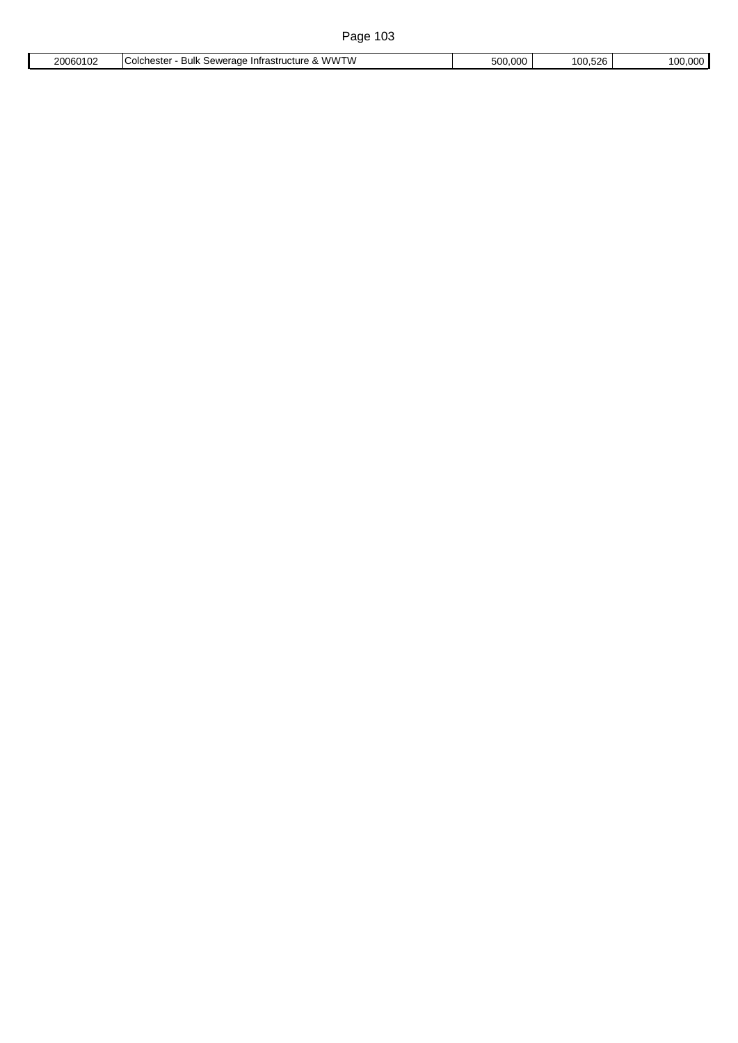|  | 20060102<br>ے∪ال' | 'WWTW<br>∴hester<br>Infrastructure<br><b>COICF</b><br>:awaranc<br>чы<br>،ست<br>$\mathbf x$<br>.<br>. . | റററ<br>500<br> | $F^{\alpha}$<br>00.526 | ററ |
|--|-------------------|--------------------------------------------------------------------------------------------------------|----------------|------------------------|----|
|--|-------------------|--------------------------------------------------------------------------------------------------------|----------------|------------------------|----|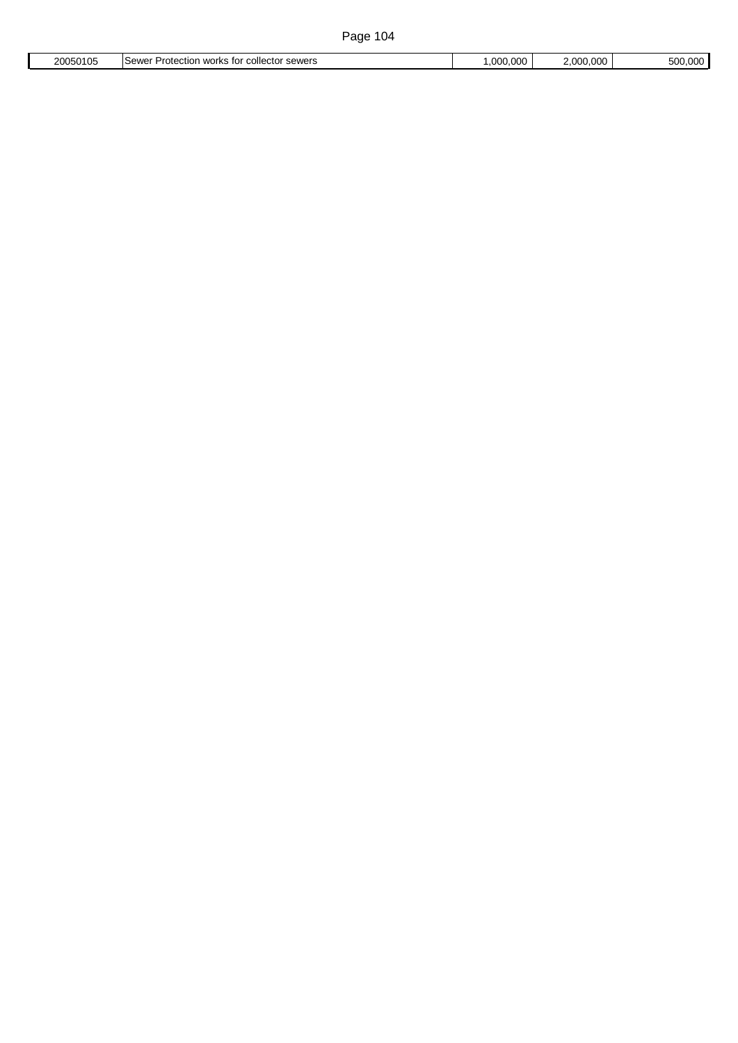| 20050105 | <b>SAWAR</b><br>√ work∙<br>۱۸۱۵<br>$\sim$<br>.otection<br>collector<br>--<br>OCWCL<br>- 353455 | 1.000.006 | - - -<br>000 | $-00$<br>$\sim$ $\sim$<br>וו ור:<br>. |
|----------|------------------------------------------------------------------------------------------------|-----------|--------------|---------------------------------------|
|          |                                                                                                |           |              |                                       |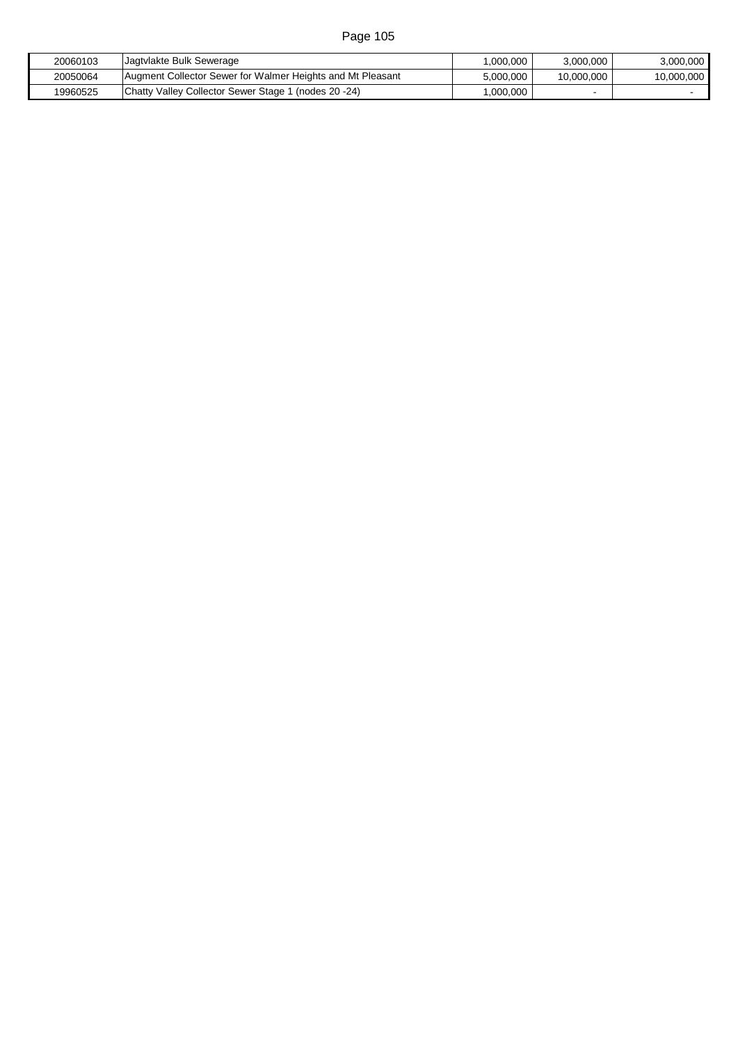| 20060103 | Jagtvlakte Bulk Sewerage                                   | .000.000  | 3.000.000  | 3.000.000  |
|----------|------------------------------------------------------------|-----------|------------|------------|
| 20050064 | Augment Collector Sewer for Walmer Heights and Mt Pleasant | 5.000.000 | 10,000,000 | 10,000,000 |
| 19960525 | Chatty Valley Collector Sewer Stage 1 (nodes 20 -24)       | .000.000  |            |            |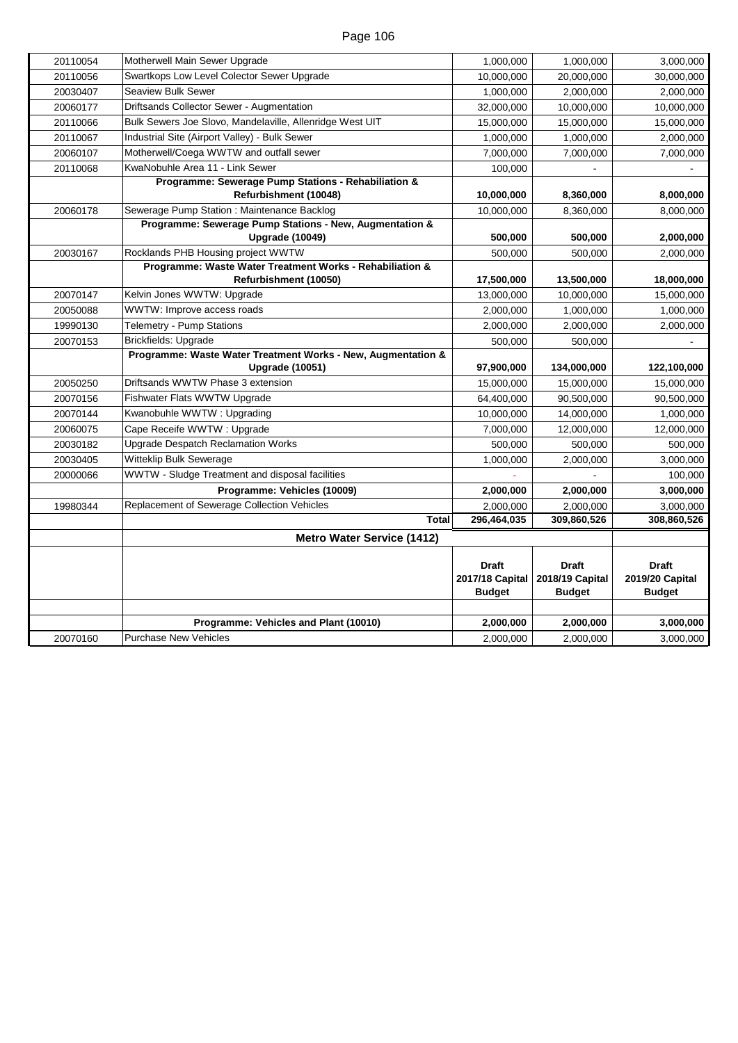| 20070160             | Programme: Vehicles and Plant (10010)<br><b>Purchase New Vehicles</b>        | 2,000,000<br>2,000,000                                  | 2,000,000<br>2,000,000                           | 3,000,000<br>3,000,000                           |
|----------------------|------------------------------------------------------------------------------|---------------------------------------------------------|--------------------------------------------------|--------------------------------------------------|
|                      |                                                                              | <b>Draft</b><br><b>2017/18 Capital</b><br><b>Budget</b> | <b>Draft</b><br>2018/19 Capital<br><b>Budget</b> | <b>Draft</b><br>2019/20 Capital<br><b>Budget</b> |
|                      | <b>Metro Water Service (1412)</b>                                            |                                                         |                                                  |                                                  |
|                      | <b>Total</b>                                                                 | 296,464,035                                             | 309,860,526                                      | 308,860,526                                      |
| 19980344             | Replacement of Sewerage Collection Vehicles                                  | 2,000,000                                               | 2,000,000                                        | 3,000,000                                        |
|                      | Programme: Vehicles (10009)                                                  | 2,000,000                                               | 2,000,000                                        | 3,000,000                                        |
| 20000066             | WWTW - Sludge Treatment and disposal facilities                              |                                                         |                                                  | 100,000                                          |
| 20030405             | Witteklip Bulk Sewerage                                                      | 1,000,000                                               | 2,000,000                                        | 3,000,000                                        |
| 20030182             | <b>Upgrade Despatch Reclamation Works</b>                                    | 500,000                                                 | 500.000                                          | 500,000                                          |
| 20060075             | Cape Receife WWTW: Upgrade                                                   | 7,000,000                                               | 12,000,000                                       | 12,000,000                                       |
| 20070156<br>20070144 | Kwanobuhle WWTW: Upgrading                                                   | 64,400,000<br>10,000,000                                | 90,500,000<br>14,000,000                         | 90,500,000<br>1,000,000                          |
| 20050250             | Driftsands WWTW Phase 3 extension<br>Fishwater Flats WWTW Upgrade            | 15,000,000                                              | 15,000,000                                       | 15,000,000                                       |
|                      | <b>Upgrade (10051)</b>                                                       | 97,900,000                                              | 134,000,000                                      | 122,100,000                                      |
|                      | Programme: Waste Water Treatment Works - New, Augmentation &                 |                                                         |                                                  |                                                  |
| 20070153             | <b>Brickfields: Upgrade</b>                                                  | 500,000                                                 | 500,000                                          |                                                  |
| 19990130             | Telemetry - Pump Stations                                                    | 2,000,000                                               | 2,000,000                                        | 2,000,000                                        |
| 20050088             | WWTW: Improve access roads                                                   | 2,000,000                                               | 1,000,000                                        | 1,000,000                                        |
| 20070147             | Refurbishment (10050)<br>Kelvin Jones WWTW: Upgrade                          | 17,500,000<br>13,000,000                                | 13,500,000<br>10,000,000                         | 18,000,000<br>15,000,000                         |
| 20030167             | Programme: Waste Water Treatment Works - Rehabiliation &                     | 500,000                                                 | 500,000                                          |                                                  |
|                      | <b>Upgrade (10049)</b><br>Rocklands PHB Housing project WWTW                 | 500,000                                                 | 500,000                                          | 2,000,000<br>2,000,000                           |
|                      | Programme: Sewerage Pump Stations - New, Augmentation &                      |                                                         |                                                  |                                                  |
| 20060178             | Sewerage Pump Station : Maintenance Backlog                                  | 10,000,000                                              | 8,360,000                                        | 8,000,000                                        |
|                      | Programme: Sewerage Pump Stations - Rehabiliation &<br>Refurbishment (10048) | 10,000,000                                              | 8,360,000                                        | 8,000,000                                        |
| 20110068             | KwaNobuhle Area 11 - Link Sewer                                              | 100,000                                                 |                                                  |                                                  |
| 20060107             | Motherwell/Coega WWTW and outfall sewer                                      | 7,000,000                                               | 7,000,000                                        | 7,000,000                                        |
| 20110067             | Industrial Site (Airport Valley) - Bulk Sewer                                | 1,000,000                                               | 1,000,000                                        | 2,000,000                                        |
| 20110066             | Bulk Sewers Joe Slovo, Mandelaville, Allenridge West UIT                     | 15,000,000                                              | 15,000,000                                       | 15,000,000                                       |
| 20060177             | Driftsands Collector Sewer - Augmentation                                    | 32,000,000                                              | 10,000,000                                       | 10,000,000                                       |
| 20030407             | <b>Seaview Bulk Sewer</b>                                                    | 1,000,000                                               | 2,000,000                                        | 2,000,000                                        |
| 20110056             | Swartkops Low Level Colector Sewer Upgrade                                   | 10,000,000                                              | 20,000,000                                       | 30,000,000                                       |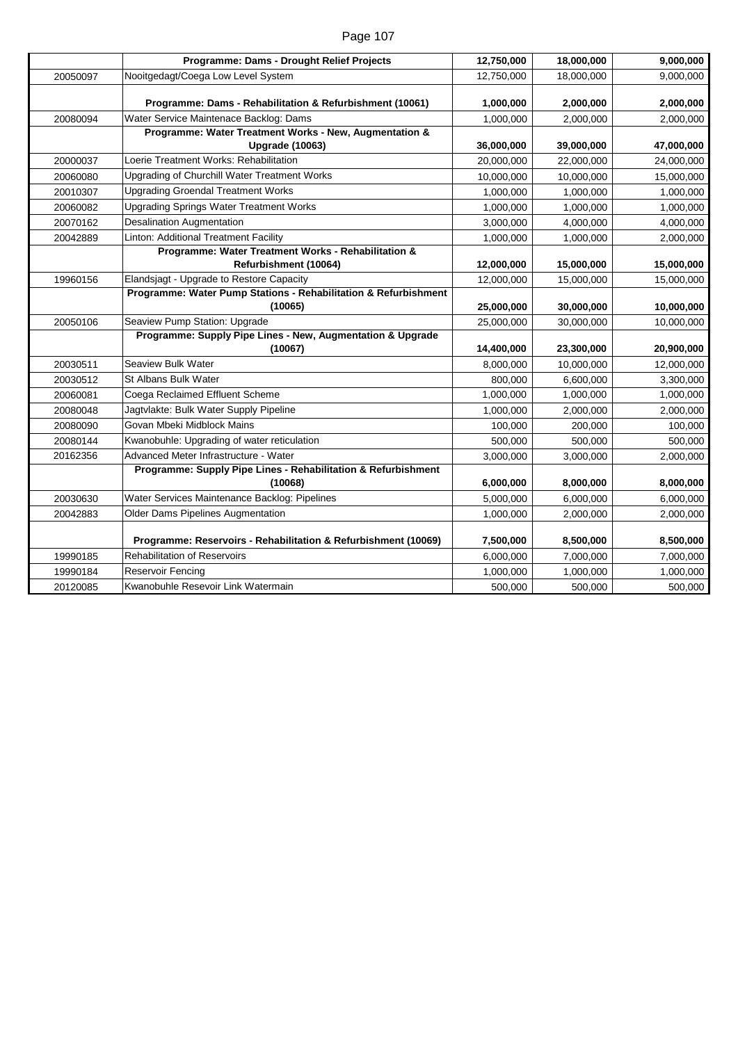|          | Programme: Dams - Drought Relief Projects                                                        | 12,750,000 | 18,000,000 | 9,000,000  |
|----------|--------------------------------------------------------------------------------------------------|------------|------------|------------|
| 20050097 | Nooitgedagt/Coega Low Level System                                                               | 12,750,000 | 18,000,000 | 9,000,000  |
|          |                                                                                                  |            |            |            |
|          | Programme: Dams - Rehabilitation & Refurbishment (10061)                                         | 1,000,000  | 2,000,000  | 2,000,000  |
| 20080094 | Water Service Maintenace Backlog: Dams<br>Programme: Water Treatment Works - New, Augmentation & | 1,000,000  | 2,000,000  | 2,000,000  |
|          | <b>Upgrade (10063)</b>                                                                           | 36,000,000 | 39,000,000 | 47,000,000 |
| 20000037 | Loerie Treatment Works: Rehabilitation                                                           | 20,000,000 | 22,000,000 | 24,000,000 |
| 20060080 | Upgrading of Churchill Water Treatment Works                                                     | 10,000,000 | 10,000,000 | 15,000,000 |
| 20010307 | <b>Upgrading Groendal Treatment Works</b>                                                        | 1,000,000  | 1,000,000  | 1,000,000  |
| 20060082 | <b>Upgrading Springs Water Treatment Works</b>                                                   | 1,000,000  | 1,000,000  | 1,000,000  |
| 20070162 | <b>Desalination Augmentation</b>                                                                 | 3,000,000  | 4,000,000  | 4,000,000  |
| 20042889 | Linton: Additional Treatment Facility                                                            | 1,000,000  | 1,000,000  | 2,000,000  |
|          | Programme: Water Treatment Works - Rehabilitation &                                              |            |            |            |
|          | Refurbishment (10064)                                                                            | 12,000,000 | 15,000,000 | 15,000,000 |
| 19960156 | Elandsjagt - Upgrade to Restore Capacity                                                         | 12,000,000 | 15,000,000 | 15,000,000 |
|          | Programme: Water Pump Stations - Rehabilitation & Refurbishment                                  |            |            |            |
|          | (10065)                                                                                          | 25,000,000 | 30,000,000 | 10,000,000 |
| 20050106 | Seaview Pump Station: Upgrade                                                                    | 25,000,000 | 30,000,000 | 10,000,000 |
|          | Programme: Supply Pipe Lines - New, Augmentation & Upgrade<br>(10067)                            | 14,400,000 | 23,300,000 | 20,900,000 |
| 20030511 | Seaview Bulk Water                                                                               | 8,000,000  | 10,000,000 | 12,000,000 |
| 20030512 | St Albans Bulk Water                                                                             | 800,000    | 6,600,000  | 3,300,000  |
| 20060081 | Coega Reclaimed Effluent Scheme                                                                  | 1,000,000  | 1,000,000  | 1,000,000  |
| 20080048 | Jagtvlakte: Bulk Water Supply Pipeline                                                           | 1,000,000  | 2,000,000  | 2,000,000  |
| 20080090 | Govan Mbeki Midblock Mains                                                                       | 100,000    | 200,000    | 100,000    |
| 20080144 | Kwanobuhle: Upgrading of water reticulation                                                      | 500,000    | 500,000    | 500,000    |
| 20162356 | Advanced Meter Infrastructure - Water                                                            | 3,000,000  | 3,000,000  | 2,000,000  |
|          | Programme: Supply Pipe Lines - Rehabilitation & Refurbishment                                    |            |            |            |
|          | (10068)                                                                                          | 6,000,000  | 8,000,000  | 8,000,000  |
| 20030630 | Water Services Maintenance Backlog: Pipelines                                                    | 5,000,000  | 6,000,000  | 6,000,000  |
| 20042883 | Older Dams Pipelines Augmentation                                                                | 1,000,000  | 2,000,000  | 2,000,000  |
|          |                                                                                                  |            |            |            |
|          | Programme: Reservoirs - Rehabilitation & Refurbishment (10069)                                   | 7,500,000  | 8,500,000  | 8,500,000  |
| 19990185 | <b>Rehabilitation of Reservoirs</b>                                                              | 6,000,000  | 7,000,000  | 7,000,000  |
| 19990184 | Reservoir Fencing                                                                                | 1,000,000  | 1,000,000  | 1,000,000  |
| 20120085 | Kwanobuhle Resevoir Link Watermain                                                               | 500,000    | 500,000    | 500,000    |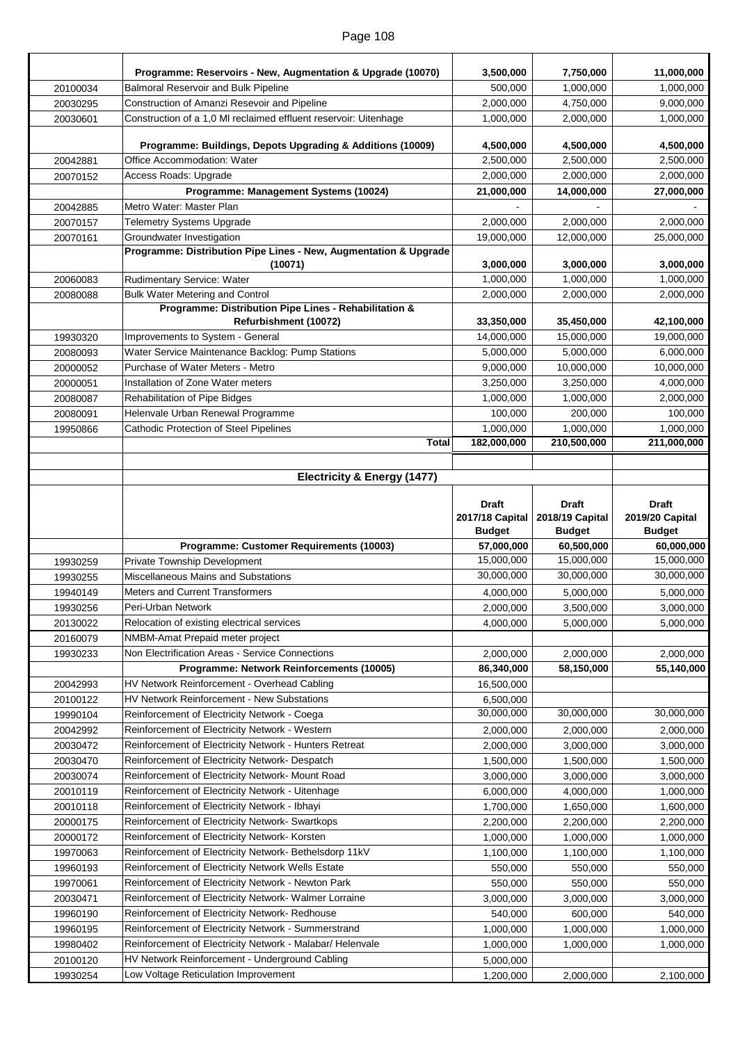|                      | Programme: Reservoirs - New, Augmentation & Upgrade (10070)                                                      | 3,500,000                        | 7,750,000                        | 11,000,000                                 |
|----------------------|------------------------------------------------------------------------------------------------------------------|----------------------------------|----------------------------------|--------------------------------------------|
| 20100034             | <b>Balmoral Reservoir and Bulk Pipeline</b>                                                                      | 500,000                          | 1,000,000                        | 1,000,000                                  |
| 20030295             | Construction of Amanzi Resevoir and Pipeline                                                                     | 2,000,000                        | 4,750,000                        | 9,000,000                                  |
| 20030601             | Construction of a 1,0 MI reclaimed effluent reservoir: Uitenhage                                                 | 1,000,000                        | 2.000.000                        | 1,000,000                                  |
|                      |                                                                                                                  |                                  |                                  |                                            |
|                      | Programme: Buildings, Depots Upgrading & Additions (10009)                                                       | 4,500,000                        | 4,500,000                        | 4,500,000                                  |
| 20042881             | Office Accommodation: Water                                                                                      | 2,500,000                        | 2,500,000                        | 2,500,000                                  |
| 20070152             | Access Roads: Upgrade                                                                                            | 2,000,000                        | 2,000,000                        | 2,000,000                                  |
|                      | Programme: Management Systems (10024)                                                                            | 21,000,000                       | 14,000,000                       | 27,000,000                                 |
| 20042885             | Metro Water: Master Plan                                                                                         |                                  |                                  |                                            |
| 20070157             | <b>Telemetry Systems Upgrade</b>                                                                                 | 2,000,000                        | 2,000,000                        | 2,000,000                                  |
| 20070161             | Groundwater Investigation<br>Programme: Distribution Pipe Lines - New, Augmentation & Upgrade                    | 19,000,000                       | 12,000,000                       | 25,000,000                                 |
|                      | (10071)                                                                                                          | 3,000,000                        | 3,000,000                        | 3,000,000                                  |
| 20060083             | Rudimentary Service: Water                                                                                       | 1,000,000                        | 1,000,000                        | 1,000,000                                  |
| 20080088             | <b>Bulk Water Metering and Control</b>                                                                           | 2,000,000                        | 2,000,000                        | 2,000,000                                  |
|                      | Programme: Distribution Pipe Lines - Rehabilitation &<br>Refurbishment (10072)                                   | 33,350,000                       | 35,450,000                       | 42,100,000                                 |
| 19930320             | Improvements to System - General                                                                                 | 14,000,000                       | 15,000,000                       | 19,000,000                                 |
| 20080093             | Water Service Maintenance Backlog: Pump Stations                                                                 | 5,000,000                        | 5,000,000                        | 6,000,000                                  |
| 20000052             | Purchase of Water Meters - Metro                                                                                 | 9,000,000                        | 10,000,000                       | 10,000,000                                 |
| 20000051             | Installation of Zone Water meters                                                                                | 3,250,000                        | 3,250,000                        | 4,000,000                                  |
| 20080087             | Rehabilitation of Pipe Bidges                                                                                    | 1,000,000                        | 1,000,000                        | 2,000,000                                  |
| 20080091             | Helenvale Urban Renewal Programme                                                                                | 100,000                          | 200,000                          | 100,000                                    |
| 19950866             | <b>Cathodic Protection of Steel Pipelines</b>                                                                    | 1,000,000                        | 1,000,000                        | 1,000,000                                  |
|                      | <b>Total</b>                                                                                                     | 182,000,000                      | 210,500,000                      | 211,000,000                                |
|                      |                                                                                                                  |                                  |                                  |                                            |
|                      | Electricity & Energy (1477)                                                                                      |                                  |                                  |                                            |
|                      |                                                                                                                  | <b>Draft</b>                     | <b>Draft</b>                     | <b>Draft</b>                               |
|                      |                                                                                                                  |                                  |                                  |                                            |
|                      |                                                                                                                  |                                  |                                  |                                            |
|                      |                                                                                                                  | 2017/18 Capital<br><b>Budget</b> | 2018/19 Capital<br><b>Budget</b> | 2019/20 Capital<br><b>Budget</b>           |
|                      | Programme: Customer Requirements (10003)                                                                         | 57,000,000                       | 60,500,000                       | 60,000,000                                 |
| 19930259             | Private Township Development                                                                                     | 15,000,000                       | 15,000,000                       | 15,000,000                                 |
| 19930255             | Miscellaneous Mains and Substations                                                                              | 30,000,000                       | 30,000,000                       | 30,000,000                                 |
| 19940149             | <b>Meters and Current Transformers</b>                                                                           | 4,000,000                        | 5,000,000                        | 5,000,000                                  |
| 19930256             | Peri-Urban Network                                                                                               | 2,000,000                        | 3,500,000                        | 3,000,000                                  |
| 20130022             | Relocation of existing electrical services                                                                       | 4,000,000                        | 5,000,000                        | 5,000,000                                  |
| 20160079             | NMBM-Amat Prepaid meter project                                                                                  |                                  |                                  |                                            |
| 19930233             | Non Electrification Areas - Service Connections                                                                  | 2,000,000                        | 2,000,000                        | 2,000,000                                  |
|                      | Programme: Network Reinforcements (10005)                                                                        | 86,340,000                       | 58,150,000                       | 55,140,000                                 |
| 20042993             | HV Network Reinforcement - Overhead Cabling                                                                      | 16,500,000                       |                                  |                                            |
| 20100122             | HV Network Reinforcement - New Substations                                                                       | 6,500,000                        |                                  |                                            |
| 19990104             | Reinforcement of Electricity Network - Coega                                                                     | 30,000,000                       | 30,000,000                       | 30,000,000                                 |
| 20042992             | Reinforcement of Electricity Network - Western                                                                   | 2,000,000                        | 2,000,000                        | 2,000,000                                  |
| 20030472             | Reinforcement of Electricity Network - Hunters Retreat                                                           | 2,000,000                        | 3,000,000                        | 3,000,000                                  |
| 20030470             | Reinforcement of Electricity Network-Despatch                                                                    | 1,500,000                        | 1,500,000                        |                                            |
| 20030074             | Reinforcement of Electricity Network- Mount Road                                                                 | 3,000,000                        | 3,000,000                        |                                            |
| 20010119             | Reinforcement of Electricity Network - Uitenhage                                                                 | 6,000,000                        | 4,000,000                        | 1,500,000<br>3,000,000<br>1,000,000        |
| 20010118             | Reinforcement of Electricity Network - Ibhayi                                                                    | 1,700,000                        | 1,650,000                        | 1,600,000                                  |
| 20000175             | Reinforcement of Electricity Network-Swartkops                                                                   | 2,200,000                        | 2,200,000                        | 2,200,000                                  |
| 20000172             | Reinforcement of Electricity Network- Korsten                                                                    | 1,000,000                        | 1,000,000                        | 1,000,000                                  |
| 19970063             | Reinforcement of Electricity Network-Bethelsdorp 11kV                                                            | 1,100,000                        | 1,100,000                        | 1,100,000                                  |
| 19960193             | Reinforcement of Electricity Network Wells Estate                                                                | 550,000                          | 550,000                          |                                            |
| 19970061             | Reinforcement of Electricity Network - Newton Park                                                               | 550,000                          | 550,000                          |                                            |
| 20030471             | Reinforcement of Electricity Network-Walmer Lorraine                                                             | 3,000,000                        | 3,000,000                        |                                            |
| 19960190<br>19960195 | Reinforcement of Electricity Network-Redhouse                                                                    | 540,000<br>1,000,000             | 600,000                          | 550,000<br>550,000<br>3,000,000<br>540,000 |
| 19980402             | Reinforcement of Electricity Network - Summerstrand<br>Reinforcement of Electricity Network - Malabar/ Helenvale | 1,000,000                        | 1,000,000<br>1,000,000           | 1,000,000                                  |
| 20100120             | HV Network Reinforcement - Underground Cabling                                                                   | 5,000,000                        |                                  | 1,000,000                                  |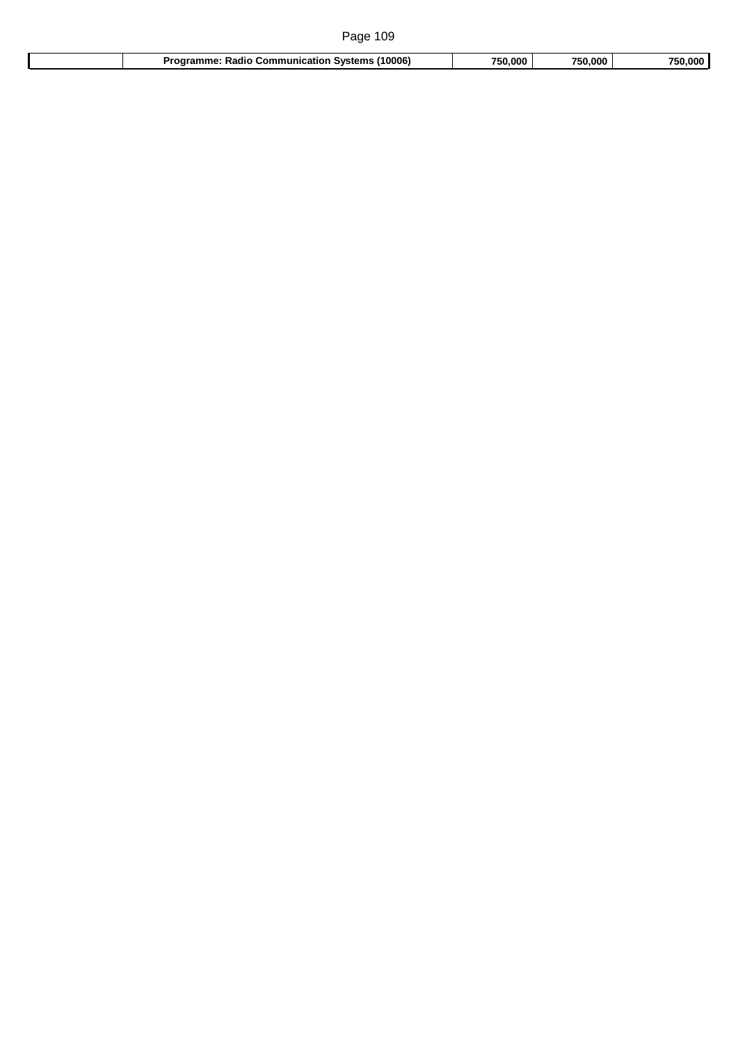| Page 109                                          |         |         |         |
|---------------------------------------------------|---------|---------|---------|
| Radio Communication Systems (10006)<br>Programme: | 750.000 | 750.000 | 750,000 |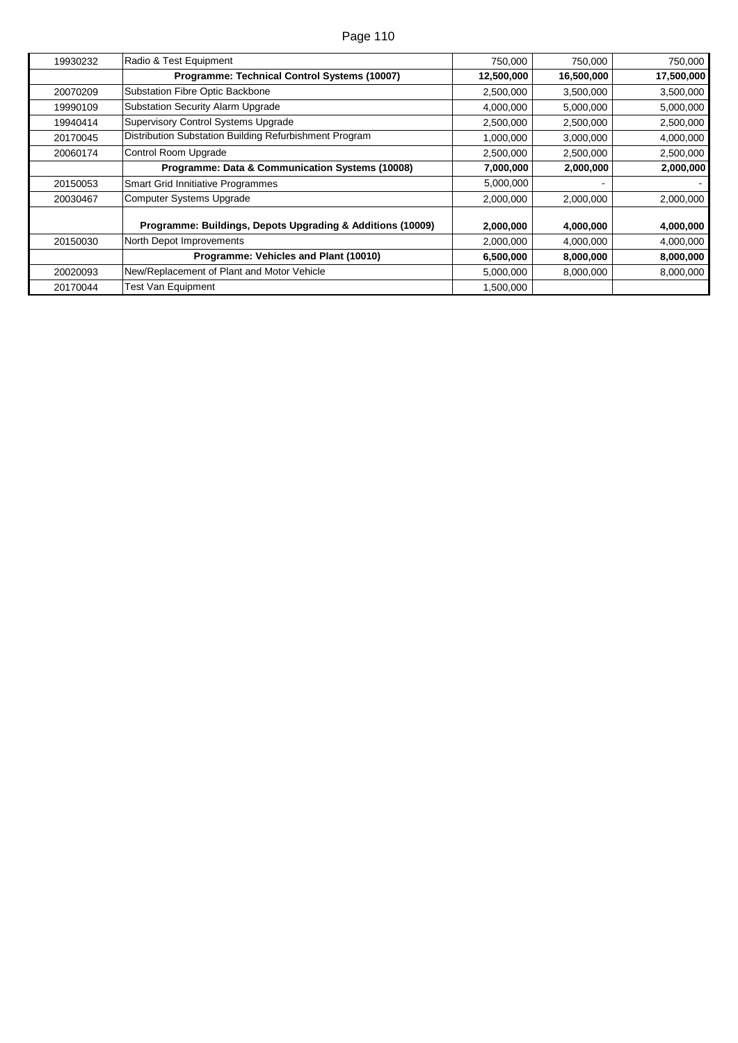| 19930232 | Radio & Test Equipment                                     | 750,000    | 750,000    | 750,000    |
|----------|------------------------------------------------------------|------------|------------|------------|
|          | Programme: Technical Control Systems (10007)               | 12,500,000 | 16,500,000 | 17,500,000 |
| 20070209 | Substation Fibre Optic Backbone                            | 2,500,000  | 3,500,000  | 3,500,000  |
| 19990109 | <b>Substation Security Alarm Upgrade</b>                   | 4,000,000  | 5,000,000  | 5,000,000  |
| 19940414 | <b>Supervisory Control Systems Upgrade</b>                 | 2,500,000  | 2,500,000  | 2,500,000  |
| 20170045 | Distribution Substation Building Refurbishment Program     | 1,000,000  | 3,000,000  | 4,000,000  |
| 20060174 | Control Room Upgrade                                       | 2,500,000  | 2,500,000  | 2,500,000  |
|          | Programme: Data & Communication Systems (10008)            | 7,000,000  | 2,000,000  | 2,000,000  |
| 20150053 | <b>Smart Grid Innitiative Programmes</b>                   | 5,000,000  |            |            |
| 20030467 | <b>Computer Systems Upgrade</b>                            | 2,000,000  | 2,000,000  | 2,000,000  |
|          | Programme: Buildings, Depots Upgrading & Additions (10009) | 2,000,000  | 4,000,000  | 4,000,000  |
| 20150030 | North Depot Improvements                                   | 2,000,000  | 4,000,000  | 4,000,000  |
|          | Programme: Vehicles and Plant (10010)                      | 6,500,000  | 8,000,000  | 8,000,000  |
| 20020093 | New/Replacement of Plant and Motor Vehicle                 | 5,000,000  | 8,000,000  | 8,000,000  |
| 20170044 | <b>Test Van Equipment</b>                                  | 1,500,000  |            |            |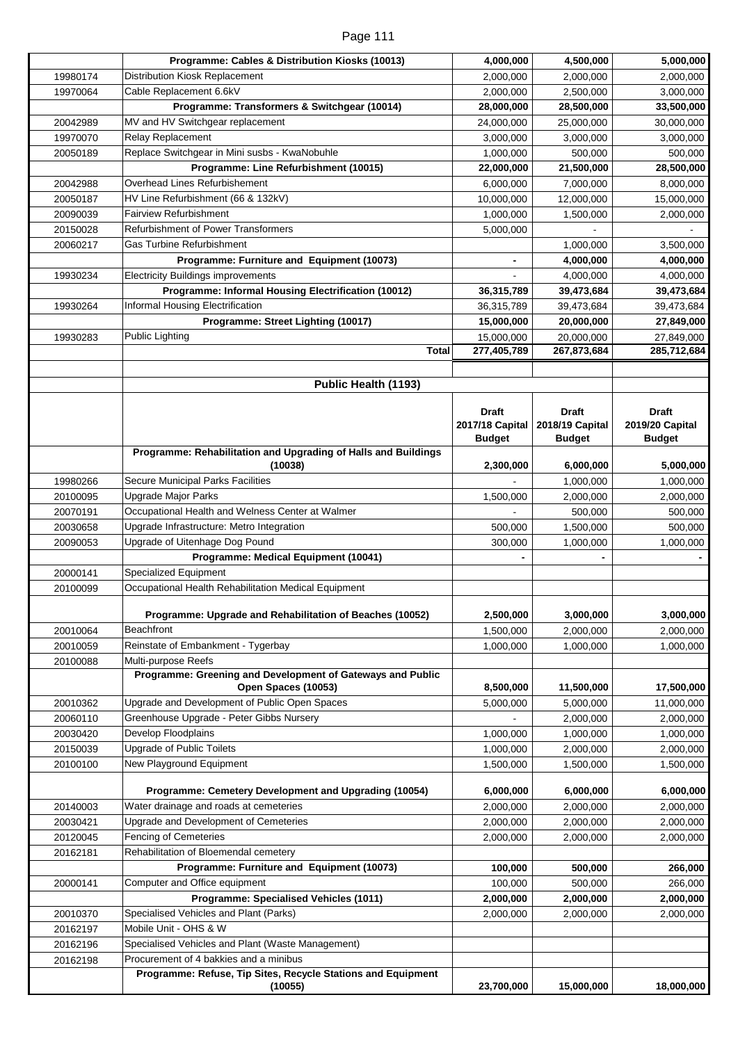| Page 111 |  |  |
|----------|--|--|
|          |  |  |

|          | Programme: Cables & Distribution Kiosks (10013)                                                 | 4,000,000                 | 4,500,000                 | 5,000,000                 |
|----------|-------------------------------------------------------------------------------------------------|---------------------------|---------------------------|---------------------------|
| 19980174 | Distribution Kiosk Replacement                                                                  | 2,000,000                 | 2,000,000                 | 2,000,000                 |
| 19970064 | Cable Replacement 6.6kV                                                                         | 2,000,000                 | 2,500,000                 | 3,000,000                 |
|          | Programme: Transformers & Switchgear (10014)                                                    | 28,000,000                | 28,500,000                | 33,500,000                |
| 20042989 | MV and HV Switchgear replacement                                                                | 24,000,000                | 25,000,000                | 30,000,000                |
| 19970070 | Relay Replacement                                                                               | 3,000,000                 | 3,000,000                 | 3,000,000                 |
| 20050189 | Replace Switchgear in Mini susbs - KwaNobuhle                                                   | 1,000,000                 | 500,000                   | 500,000                   |
|          | Programme: Line Refurbishment (10015)                                                           | 22,000,000                | 21,500,000                | 28,500,000                |
| 20042988 | Overhead Lines Refurbishement                                                                   | 6,000,000                 | 7,000,000                 | 8,000,000                 |
| 20050187 | HV Line Refurbishment (66 & 132kV)                                                              | 10,000,000                | 12,000,000                | 15,000,000                |
| 20090039 | <b>Fairview Refurbishment</b>                                                                   | 1,000,000                 | 1,500,000                 | 2,000,000                 |
| 20150028 | <b>Refurbishment of Power Transformers</b>                                                      | 5,000,000                 |                           |                           |
| 20060217 | <b>Gas Turbine Refurbishment</b>                                                                |                           | 1,000,000                 | 3,500,000                 |
|          | Programme: Furniture and Equipment (10073)                                                      | $\overline{\phantom{0}}$  | 4,000,000                 | 4,000,000                 |
| 19930234 | <b>Electricity Buildings improvements</b>                                                       |                           | 4,000,000                 | 4,000,000                 |
|          | Programme: Informal Housing Electrification (10012)                                             | 36,315,789                | 39,473,684                | 39,473,684                |
| 19930264 | Informal Housing Electrification                                                                | 36,315,789                | 39,473,684                |                           |
|          | Programme: Street Lighting (10017)                                                              | 15,000,000                | 20,000,000                | 39,473,684                |
|          |                                                                                                 |                           |                           | 27,849,000                |
| 19930283 | <b>Public Lighting</b><br>Total                                                                 | 15,000,000<br>277,405,789 | 20,000,000<br>267,873,684 | 27,849,000<br>285,712,684 |
|          |                                                                                                 |                           |                           |                           |
|          |                                                                                                 |                           |                           |                           |
|          | Public Health (1193)                                                                            |                           |                           |                           |
|          |                                                                                                 | <b>Draft</b>              | <b>Draft</b>              | <b>Draft</b>              |
|          |                                                                                                 | 2017/18 Capital           | 2018/19 Capital           | 2019/20 Capital           |
|          |                                                                                                 | <b>Budget</b>             | <b>Budget</b>             | <b>Budget</b>             |
|          | Programme: Rehabilitation and Upgrading of Halls and Buildings                                  |                           |                           |                           |
|          | (10038)                                                                                         | 2,300,000                 | 6,000,000                 | 5,000,000                 |
| 19980266 | Secure Municipal Parks Facilities                                                               |                           | 1,000,000                 | 1,000,000                 |
| 20100095 | <b>Upgrade Major Parks</b>                                                                      | 1,500,000                 | 2,000,000                 | 2,000,000                 |
| 20070191 | Occupational Health and Welness Center at Walmer                                                |                           | 500,000                   | 500,000                   |
| 20030658 | Upgrade Infrastructure: Metro Integration                                                       | 500,000                   | 1,500,000                 | 500,000                   |
| 20090053 | Upgrade of Uitenhage Dog Pound                                                                  | 300,000                   | 1,000,000                 | 1,000,000                 |
|          | Programme: Medical Equipment (10041)                                                            | $\overline{\phantom{a}}$  |                           |                           |
| 20000141 | Specialized Equipment                                                                           |                           |                           |                           |
| 20100099 | Occupational Health Rehabilitation Medical Equipment                                            |                           |                           |                           |
|          |                                                                                                 |                           |                           |                           |
|          | Programme: Upgrade and Rehabilitation of Beaches (10052)                                        | 2,500,000                 | 3,000,000                 | 3,000,000                 |
| 20010064 | <b>Beachfront</b>                                                                               | 1,500,000                 | 2,000,000                 | 2,000,000                 |
| 20010059 | Reinstate of Embankment - Tygerbay                                                              | 1,000,000                 | 1,000,000                 | 1,000,000                 |
| 20100088 | Multi-purpose Reefs                                                                             |                           |                           |                           |
|          | Programme: Greening and Development of Gateways and Public                                      |                           |                           |                           |
|          | Open Spaces (10053)                                                                             | 8,500,000                 | 11,500,000                | 17,500,000                |
| 20010362 | Upgrade and Development of Public Open Spaces                                                   | 5,000,000                 | 5,000,000                 | 11,000,000                |
| 20060110 | Greenhouse Upgrade - Peter Gibbs Nursery                                                        |                           | 2,000,000                 | 2,000,000                 |
| 20030420 | Develop Floodplains                                                                             | 1,000,000                 | 1,000,000                 | 1,000,000                 |
| 20150039 | <b>Upgrade of Public Toilets</b>                                                                | 1,000,000                 | 2,000,000                 | 2,000,000                 |
| 20100100 | New Playground Equipment                                                                        | 1,500,000                 | 1,500,000                 | 1,500,000                 |
|          |                                                                                                 |                           |                           |                           |
|          | Programme: Cemetery Development and Upgrading (10054)<br>Water drainage and roads at cemeteries | 6,000,000                 | 6,000,000                 | 6,000,000                 |
| 20140003 |                                                                                                 | 2,000,000                 | 2,000,000                 | 2,000,000                 |
| 20030421 | Upgrade and Development of Cemeteries                                                           | 2,000,000                 | 2,000,000                 | 2,000,000                 |
| 20120045 | Fencing of Cemeteries                                                                           | 2,000,000                 | 2,000,000                 | 2,000,000                 |
| 20162181 | Rehabilitation of Bloemendal cemetery                                                           |                           |                           |                           |
|          | Programme: Furniture and Equipment (10073)                                                      | 100,000                   | 500,000                   | 266,000                   |
| 20000141 | Computer and Office equipment                                                                   | 100,000                   | 500,000                   | 266,000                   |
|          | Programme: Specialised Vehicles (1011)                                                          | 2,000,000                 | 2,000,000                 | 2,000,000                 |
| 20010370 | Specialised Vehicles and Plant (Parks)                                                          | 2,000,000                 | 2,000,000                 | 2,000,000                 |
| 20162197 | Mobile Unit - OHS & W                                                                           |                           |                           |                           |
| 20162196 | Specialised Vehicles and Plant (Waste Management)                                               |                           |                           |                           |
| 20162198 | Procurement of 4 bakkies and a minibus                                                          |                           |                           |                           |
|          | Programme: Refuse, Tip Sites, Recycle Stations and Equipment                                    |                           |                           |                           |
|          | (10055)                                                                                         | 23,700,000                | 15,000,000                | 18,000,000                |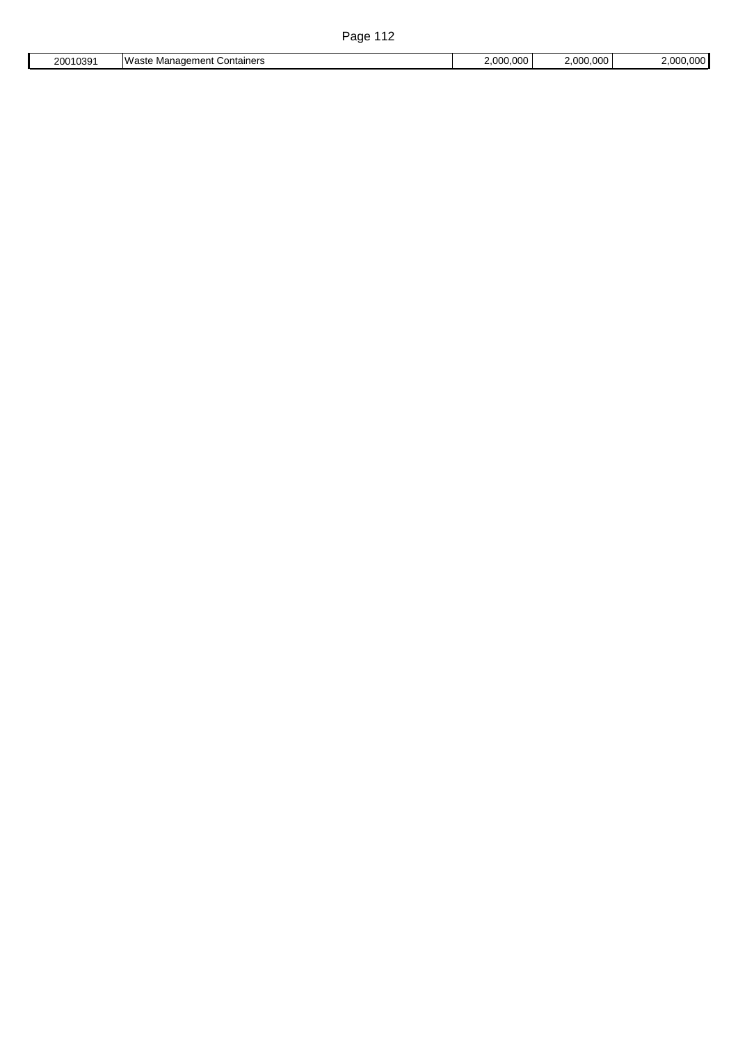| 20010391 | Waste Management Containers | 2.000.000 | 2.000.000 | 2,000,000 |
|----------|-----------------------------|-----------|-----------|-----------|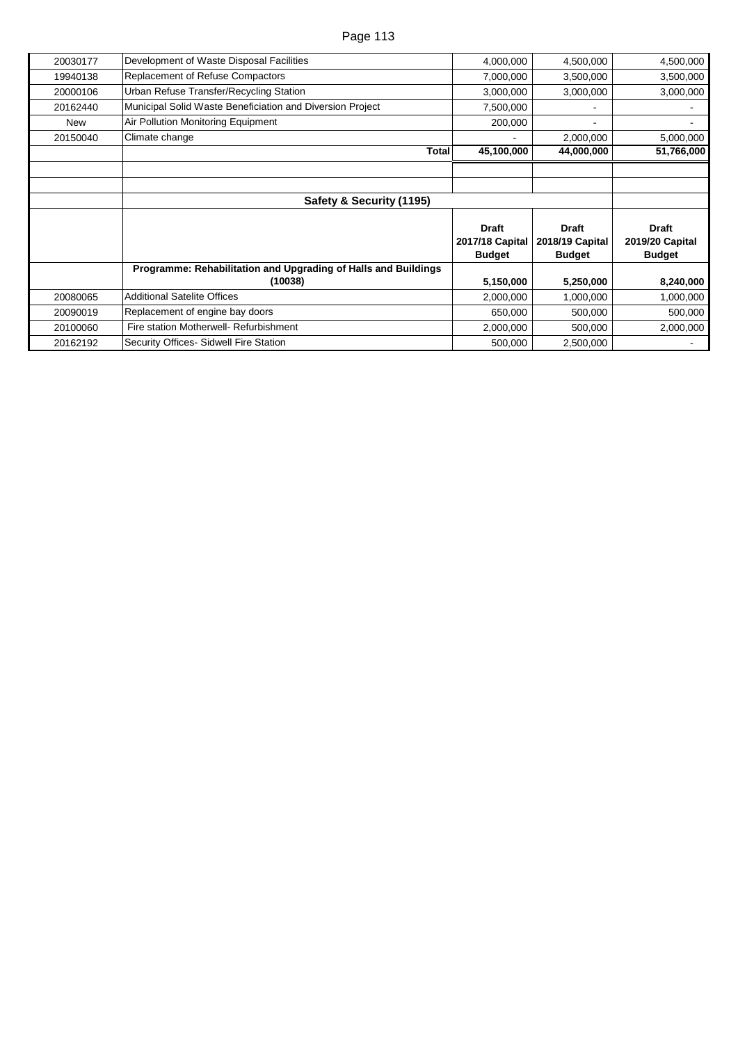| 20030177 | Development of Waste Disposal Facilities                       | 4,000,000                                        | 4,500,000                                        | 4,500,000                                        |
|----------|----------------------------------------------------------------|--------------------------------------------------|--------------------------------------------------|--------------------------------------------------|
| 19940138 | <b>Replacement of Refuse Compactors</b>                        | 7,000,000                                        | 3,500,000                                        | 3,500,000                                        |
| 20000106 | Urban Refuse Transfer/Recycling Station                        | 3,000,000                                        | 3,000,000                                        | 3,000,000                                        |
| 20162440 | Municipal Solid Waste Beneficiation and Diversion Project      | 7,500,000                                        |                                                  |                                                  |
| New      | Air Pollution Monitoring Equipment                             | 200,000                                          | ۰.                                               | -                                                |
| 20150040 | Climate change                                                 |                                                  | 2,000,000                                        | 5,000,000                                        |
|          | <b>Total</b>                                                   | 45,100,000                                       | 44,000,000                                       | 51,766,000                                       |
|          |                                                                |                                                  |                                                  |                                                  |
|          |                                                                |                                                  |                                                  |                                                  |
|          | Safety & Security (1195)                                       |                                                  |                                                  |                                                  |
|          |                                                                | <b>Draft</b><br>2017/18 Capital<br><b>Budget</b> | <b>Draft</b><br>2018/19 Capital<br><b>Budget</b> | <b>Draft</b><br>2019/20 Capital<br><b>Budget</b> |
|          | Programme: Rehabilitation and Upgrading of Halls and Buildings |                                                  |                                                  |                                                  |
|          | (10038)                                                        | 5,150,000                                        | 5,250,000                                        | 8,240,000                                        |
| 20080065 | <b>Additional Satelite Offices</b>                             | 2,000,000                                        | 1,000,000                                        | 1,000,000                                        |
| 20090019 | Replacement of engine bay doors                                | 650,000                                          | 500,000                                          | 500,000                                          |
| 20100060 | Fire station Motherwell- Refurbishment                         | 2,000,000                                        | 500,000                                          | 2,000,000                                        |
| 20162192 | Security Offices- Sidwell Fire Station                         | 500,000                                          | 2,500,000                                        |                                                  |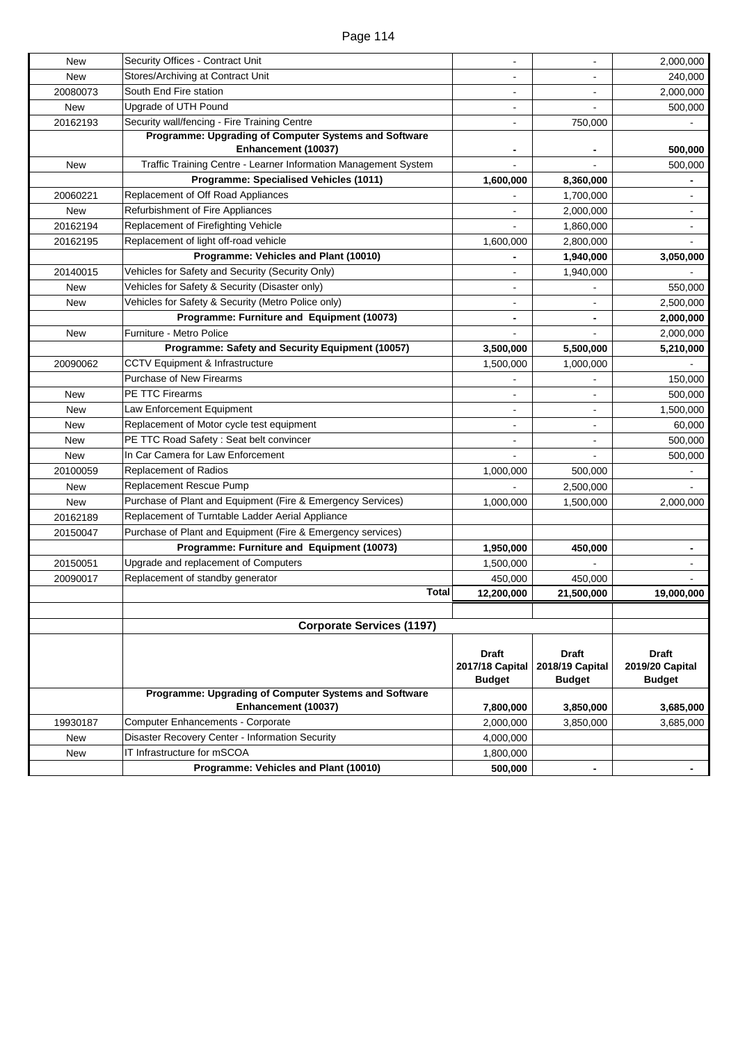| <b>New</b>             | Security Offices - Contract Unit                                                                 | $\overline{a}$                   | ÷,                              | 2,000,000                       |
|------------------------|--------------------------------------------------------------------------------------------------|----------------------------------|---------------------------------|---------------------------------|
| <b>New</b>             | Stores/Archiving at Contract Unit                                                                |                                  |                                 | 240,000                         |
| 20080073               | South End Fire station                                                                           |                                  |                                 | 2,000,000                       |
| New                    | Upgrade of UTH Pound                                                                             | $\blacksquare$                   |                                 | 500,000                         |
| 20162193               | Security wall/fencing - Fire Training Centre                                                     | $\overline{a}$                   | 750,000                         |                                 |
|                        | Programme: Upgrading of Computer Systems and Software                                            |                                  |                                 |                                 |
|                        | Enhancement (10037)<br>Traffic Training Centre - Learner Information Management System           |                                  | $\blacksquare$                  | 500,000                         |
| New                    | Programme: Specialised Vehicles (1011)                                                           |                                  | 8,360,000                       | 500,000                         |
|                        | Replacement of Off Road Appliances                                                               | 1,600,000                        |                                 |                                 |
| 20060221<br><b>New</b> | Refurbishment of Fire Appliances                                                                 |                                  | 1,700,000<br>2,000,000          |                                 |
| 20162194               | Replacement of Firefighting Vehicle                                                              |                                  |                                 |                                 |
|                        | Replacement of light off-road vehicle                                                            |                                  | 1,860,000                       |                                 |
| 20162195               | Programme: Vehicles and Plant (10010)                                                            | 1,600,000                        | 2,800,000                       |                                 |
|                        | Vehicles for Safety and Security (Security Only)                                                 |                                  | 1,940,000                       | 3,050,000                       |
| 20140015               | Vehicles for Safety & Security (Disaster only)                                                   | ä,                               | 1,940,000                       |                                 |
| <b>New</b>             |                                                                                                  | $\blacksquare$<br>L.             |                                 | 550,000                         |
| <b>New</b>             | Vehicles for Safety & Security (Metro Police only)<br>Programme: Furniture and Equipment (10073) |                                  | ۰.                              | 2,500,000                       |
|                        |                                                                                                  | $\blacksquare$                   | $\overline{\phantom{0}}$        | 2,000,000                       |
| <b>New</b>             | Furniture - Metro Police                                                                         |                                  |                                 | 2,000,000                       |
|                        | Programme: Safety and Security Equipment (10057)                                                 | 3,500,000                        | 5,500,000                       | 5,210,000                       |
| 20090062               | CCTV Equipment & Infrastructure                                                                  | 1,500,000                        | 1,000,000                       |                                 |
|                        | <b>Purchase of New Firearms</b><br>PE TTC Firearms                                               |                                  |                                 | 150,000                         |
| New                    |                                                                                                  |                                  | $\sim$                          | 500,000                         |
| New                    | Law Enforcement Equipment                                                                        |                                  | $\blacksquare$                  | 1,500,000                       |
| New                    | Replacement of Motor cycle test equipment                                                        |                                  | $\blacksquare$                  | 60,000                          |
| New                    | PE TTC Road Safety : Seat belt convincer                                                         |                                  |                                 | 500,000                         |
| New                    | In Car Camera for Law Enforcement                                                                |                                  |                                 | 500,000                         |
| 20100059               | <b>Replacement of Radios</b>                                                                     | 1,000,000                        | 500,000                         |                                 |
| <b>New</b>             | <b>Replacement Rescue Pump</b>                                                                   |                                  | 2,500,000                       |                                 |
| <b>New</b>             | Purchase of Plant and Equipment (Fire & Emergency Services)                                      | 1,000,000                        | 1,500,000                       | 2,000,000                       |
| 20162189               | Replacement of Turntable Ladder Aerial Appliance                                                 |                                  |                                 |                                 |
| 20150047               | Purchase of Plant and Equipment (Fire & Emergency services)                                      |                                  |                                 |                                 |
|                        | Programme: Furniture and Equipment (10073)                                                       | 1,950,000                        | 450,000                         | -                               |
| 20150051               | Upgrade and replacement of Computers                                                             | 1,500,000                        |                                 |                                 |
| 20090017               | Replacement of standby generator                                                                 | 450,000                          | 450,000                         |                                 |
|                        | <b>Total</b>                                                                                     | 12,200,000                       | 21,500,000                      | 19,000,000                      |
|                        |                                                                                                  |                                  |                                 |                                 |
|                        | <b>Corporate Services (1197)</b>                                                                 |                                  |                                 |                                 |
|                        |                                                                                                  |                                  |                                 |                                 |
|                        |                                                                                                  | <b>Draft</b>                     | <b>Draft</b><br>2018/19 Capital | <b>Draft</b><br>2019/20 Capital |
|                        |                                                                                                  | 2017/18 Capital<br><b>Budget</b> | <b>Budget</b>                   | <b>Budget</b>                   |
|                        | Programme: Upgrading of Computer Systems and Software                                            |                                  |                                 |                                 |
|                        | Enhancement (10037)                                                                              | 7,800,000                        | 3,850,000                       | 3,685,000                       |
| 19930187               | <b>Computer Enhancements - Corporate</b>                                                         | 2,000,000                        | 3,850,000                       | 3,685,000                       |
| New                    | Disaster Recovery Center - Information Security                                                  | 4,000,000                        |                                 |                                 |
| New                    | IT Infrastructure for mSCOA                                                                      | 1,800,000                        |                                 |                                 |
|                        | Programme: Vehicles and Plant (10010)                                                            | 500,000                          |                                 |                                 |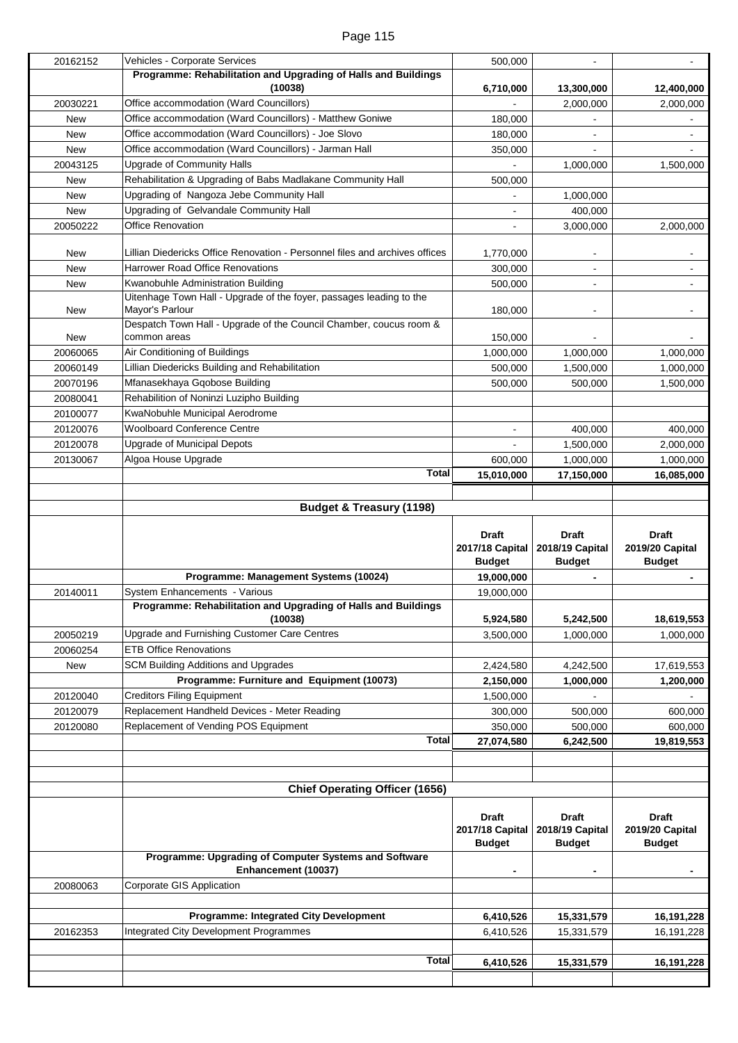| 20162152                 | Vehicles - Corporate Services                                                                    | 500,000                                    |                                 |                                 |
|--------------------------|--------------------------------------------------------------------------------------------------|--------------------------------------------|---------------------------------|---------------------------------|
|                          | Programme: Rehabilitation and Upgrading of Halls and Buildings                                   |                                            |                                 |                                 |
|                          | (10038)                                                                                          | 6,710,000                                  | 13,300,000                      | 12,400,000                      |
| 20030221                 | Office accommodation (Ward Councillors)                                                          |                                            | 2,000,000                       | 2,000,000                       |
| New                      | Office accommodation (Ward Councillors) - Matthew Goniwe                                         | 180,000                                    |                                 |                                 |
| <b>New</b>               | Office accommodation (Ward Councillors) - Joe Slovo                                              | 180,000                                    |                                 |                                 |
| <b>New</b>               | Office accommodation (Ward Councillors) - Jarman Hall                                            | 350,000                                    |                                 |                                 |
| 20043125                 | <b>Upgrade of Community Halls</b><br>Rehabilitation & Upgrading of Babs Madlakane Community Hall |                                            | 1,000,000                       | 1,500,000                       |
| <b>New</b>               | Upgrading of Nangoza Jebe Community Hall                                                         | 500,000                                    |                                 |                                 |
| <b>New</b><br><b>New</b> | Upgrading of Gelvandale Community Hall                                                           |                                            | 1,000,000<br>400,000            |                                 |
| 20050222                 | Office Renovation                                                                                | $\overline{\phantom{0}}$<br>$\blacksquare$ | 3,000,000                       | 2,000,000                       |
|                          |                                                                                                  |                                            |                                 |                                 |
| New                      | Lillian Diedericks Office Renovation - Personnel files and archives offices                      | 1,770,000                                  |                                 |                                 |
| New                      | <b>Harrower Road Office Renovations</b>                                                          | 300,000                                    |                                 |                                 |
| New                      | Kwanobuhle Administration Building                                                               | 500,000                                    |                                 |                                 |
| New                      | Uitenhage Town Hall - Upgrade of the foyer, passages leading to the<br>Mayor's Parlour           | 180,000                                    |                                 |                                 |
|                          | Despatch Town Hall - Upgrade of the Council Chamber, coucus room &                               |                                            |                                 |                                 |
| New                      | common areas                                                                                     | 150,000                                    |                                 |                                 |
| 20060065                 | Air Conditioning of Buildings                                                                    | 1,000,000                                  | 1,000,000                       | 1,000,000                       |
| 20060149                 | Lillian Diedericks Building and Rehabilitation                                                   | 500,000                                    | 1,500,000                       | 1,000,000                       |
| 20070196                 | Mfanasekhaya Gqobose Building                                                                    | 500,000                                    | 500,000                         | 1,500,000                       |
| 20080041                 | Rehabilition of Noninzi Luzipho Building                                                         |                                            |                                 |                                 |
| 20100077                 | KwaNobuhle Municipal Aerodrome                                                                   |                                            |                                 |                                 |
| 20120076                 | <b>Woolboard Conference Centre</b>                                                               |                                            | 400,000                         | 400,000                         |
| 20120078                 | <b>Upgrade of Municipal Depots</b><br>Algoa House Upgrade                                        |                                            | 1,500,000                       | 2,000,000                       |
| 20130067                 | Total                                                                                            | 600,000<br>15,010,000                      | 1,000,000<br>17,150,000         | 1,000,000<br>16,085,000         |
|                          |                                                                                                  |                                            |                                 |                                 |
|                          | <b>Budget &amp; Treasury (1198)</b>                                                              |                                            |                                 |                                 |
|                          |                                                                                                  |                                            |                                 |                                 |
|                          |                                                                                                  |                                            |                                 |                                 |
|                          |                                                                                                  | <b>Draft</b><br>2017/18 Capital            | <b>Draft</b><br>2018/19 Capital | <b>Draft</b><br>2019/20 Capital |
|                          |                                                                                                  | <b>Budget</b><br>19,000,000                | <b>Budget</b>                   | <b>Budget</b>                   |
| 20140011                 | Programme: Management Systems (10024)<br>System Enhancements - Various                           | 19,000,000                                 |                                 |                                 |
|                          | Programme: Rehabilitation and Upgrading of Halls and Buildings                                   |                                            |                                 |                                 |
|                          | (10038)                                                                                          | 5,924,580                                  | 5,242,500                       | 18,619,553                      |
| 20050219                 | Upgrade and Furnishing Customer Care Centres                                                     | 3,500,000                                  | 1,000,000                       | 1,000,000                       |
| 20060254                 | <b>ETB Office Renovations</b>                                                                    |                                            |                                 |                                 |
| New                      | <b>SCM Building Additions and Upgrades</b>                                                       | 2,424,580                                  | 4,242,500                       | 17,619,553                      |
|                          | Programme: Furniture and Equipment (10073)                                                       | 2,150,000                                  | 1,000,000                       | 1,200,000                       |
| 20120040                 | <b>Creditors Filing Equipment</b>                                                                | 1,500,000                                  |                                 |                                 |
| 20120079                 | Replacement Handheld Devices - Meter Reading                                                     | 300,000                                    | 500,000                         | 600,000                         |
| 20120080                 | Replacement of Vending POS Equipment                                                             | 350,000                                    | 500,000                         | 600,000                         |
|                          | <b>Total</b>                                                                                     | 27,074,580                                 | 6,242,500                       | 19,819,553                      |
|                          |                                                                                                  |                                            |                                 |                                 |
|                          |                                                                                                  |                                            |                                 |                                 |
|                          | <b>Chief Operating Officer (1656)</b>                                                            |                                            |                                 |                                 |
|                          |                                                                                                  | <b>Draft</b><br>2017/18 Capital            | <b>Draft</b><br>2018/19 Capital | <b>Draft</b><br>2019/20 Capital |
|                          |                                                                                                  | <b>Budget</b>                              | <b>Budget</b>                   | <b>Budget</b>                   |
|                          | Programme: Upgrading of Computer Systems and Software<br>Enhancement (10037)                     |                                            | $\blacksquare$                  |                                 |
|                          | Corporate GIS Application                                                                        |                                            |                                 |                                 |
| 20080063                 |                                                                                                  |                                            |                                 |                                 |
|                          | <b>Programme: Integrated City Development</b>                                                    | 6,410,526                                  | 15,331,579                      | 16,191,228                      |
| 20162353                 | Integrated City Development Programmes                                                           | 6,410,526                                  | 15,331,579                      | 16,191,228                      |
|                          |                                                                                                  |                                            |                                 |                                 |
|                          | <b>Total</b>                                                                                     | 6,410,526                                  | 15,331,579                      | 16,191,228                      |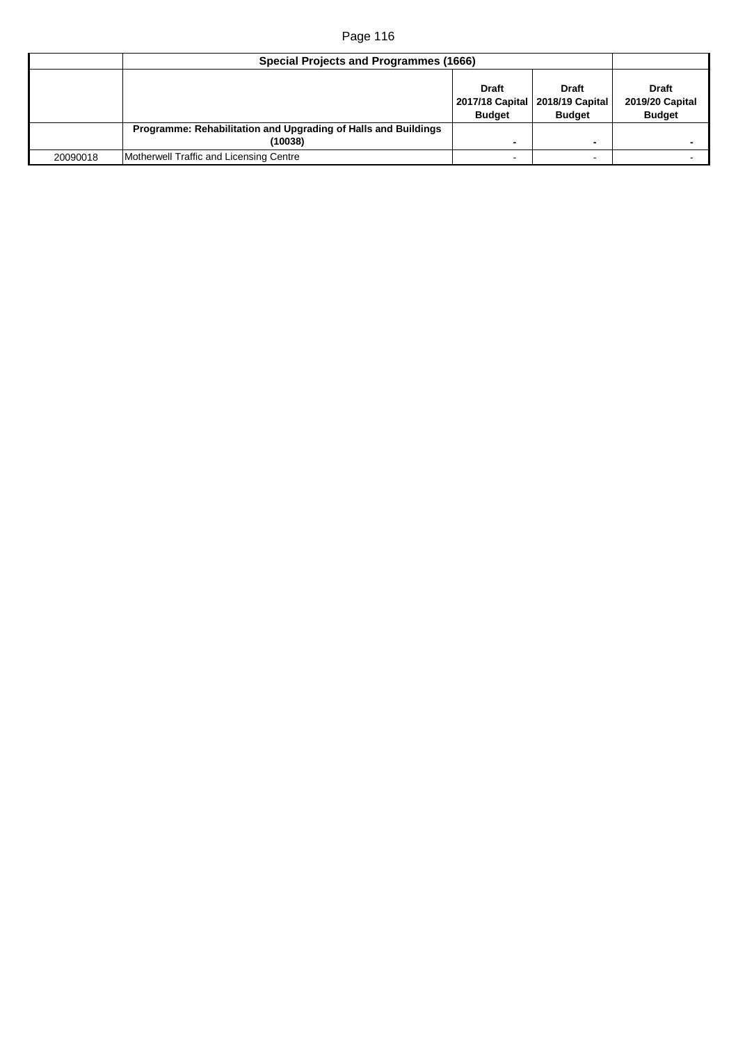| Special Projects and Programmes (1666) |                                                                           |                               |                                                                    |                                                         |
|----------------------------------------|---------------------------------------------------------------------------|-------------------------------|--------------------------------------------------------------------|---------------------------------------------------------|
|                                        |                                                                           | <b>Draft</b><br><b>Budget</b> | <b>Draft</b><br>2017/18 Capital   2018/19 Capital<br><b>Budget</b> | <b>Draft</b><br><b>2019/20 Capital</b><br><b>Budget</b> |
|                                        | Programme: Rehabilitation and Upgrading of Halls and Buildings<br>(10038) | -                             |                                                                    |                                                         |
| 20090018                               | Motherwell Traffic and Licensing Centre                                   |                               | -                                                                  |                                                         |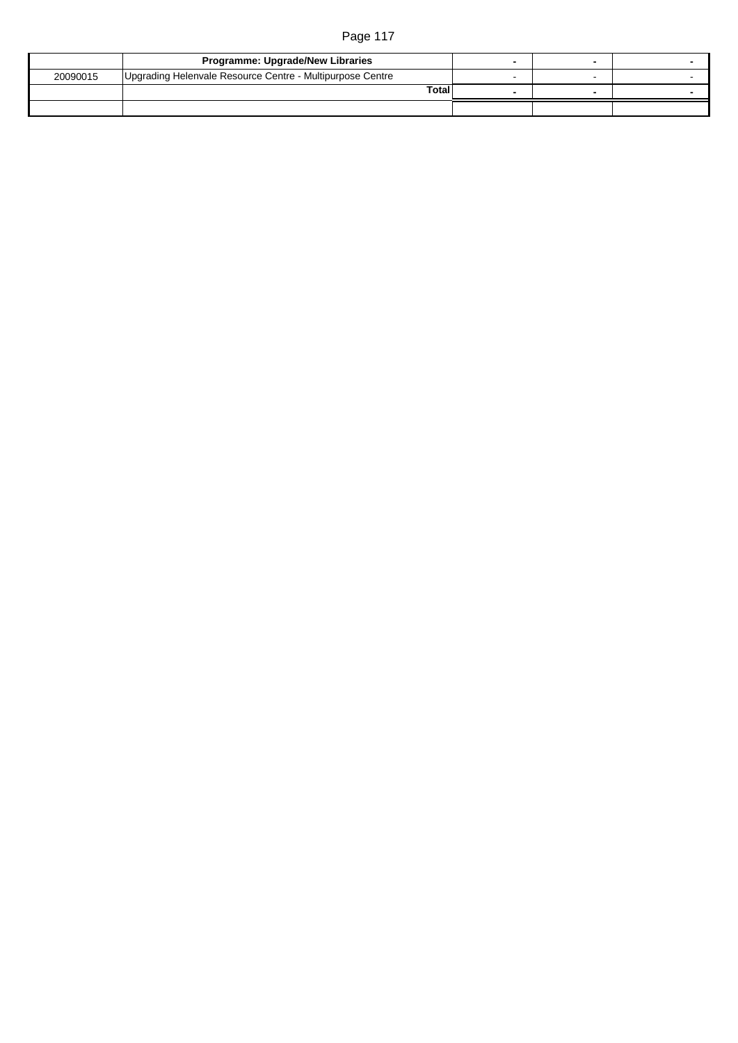|          | Programme: Upgrade/New Libraries                          |  |  |
|----------|-----------------------------------------------------------|--|--|
| 20090015 | Upgrading Helenvale Resource Centre - Multipurpose Centre |  |  |
|          | <b>Total</b>                                              |  |  |
|          |                                                           |  |  |